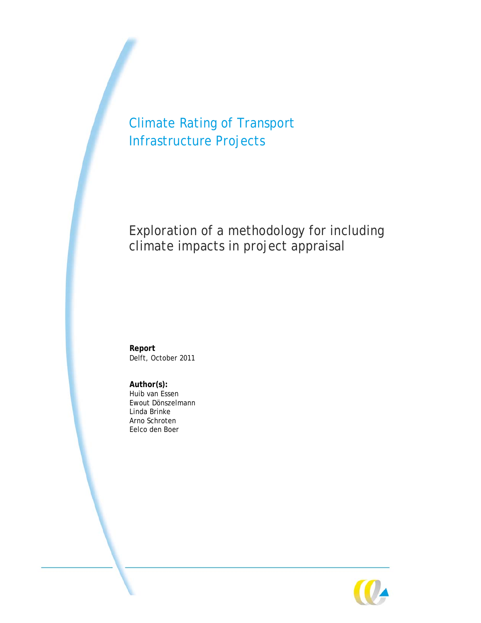### Climate Rating of Transport Infrastructure Projects

### Exploration of a methodology for including climate impacts in project appraisal

**Report**  Delft, October 2011

**Author(s):**  Huib van Essen Ewout Dönszelmann Linda Brinke Arno Schroten Eelco den Boer

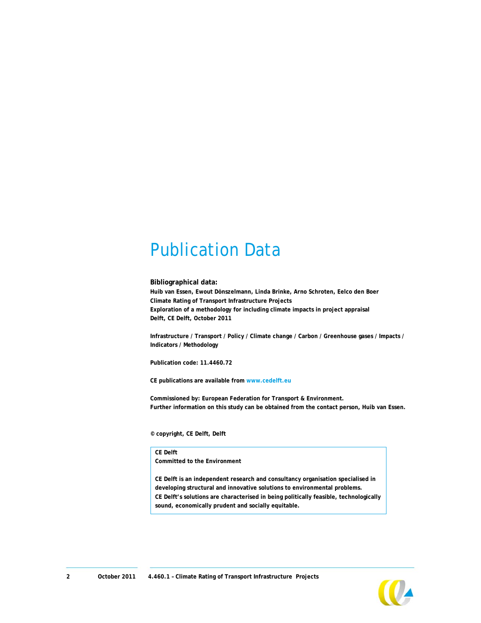### Publication Data

#### **Bibliographical data:**

**Huib van Essen, Ewout Dönszelmann, Linda Brinke, Arno Schroten, Eelco den Boer Climate Rating of Transport Infrastructure Projects Exploration of a methodology for including climate impacts in project appraisal Delft, CE Delft, October 2011** 

**Infrastructure / Transport / Policy / Climate change / Carbon / Greenhouse gases / Impacts / Indicators / Methodology** 

**Publication code: 11.4460.72** 

**CE publications are available from www.cedelft.eu** 

**Commissioned by: European Federation for Transport & Environment. Further information on this study can be obtained from the contact person, Huib van Essen.** 

**© copyright, CE Delft, Delft** 

#### **CE Delft**

**Committed to the Environment** 

**CE Delft is an independent research and consultancy organisation specialised in developing structural and innovative solutions to environmental problems. CE Delft's solutions are characterised in being politically feasible, technologically sound, economically prudent and socially equitable.** 



**2 October 2011 4.460.1 – Climate Rating of Transport Infrastructure Projects**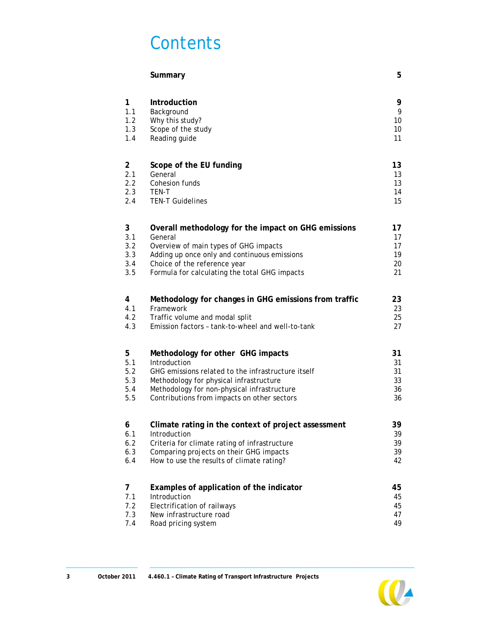### **Contents**

|     | Summary                                               | 5. |
|-----|-------------------------------------------------------|----|
| 1   | Introduction                                          | 9  |
| 1.1 | Background                                            | 9  |
| 1.2 | Why this study?                                       | 10 |
| 1.3 | Scope of the study                                    | 10 |
| 1.4 | Reading guide                                         | 11 |
| 2   | Scope of the EU funding                               | 13 |
| 2.1 | General                                               | 13 |
| 2.2 | Cohesion funds                                        | 13 |
| 2.3 | <b>TEN-T</b>                                          | 14 |
| 2.4 | <b>TEN-T Guidelines</b>                               | 15 |
| 3   | Overall methodology for the impact on GHG emissions   | 17 |
| 3.1 | General                                               | 17 |
| 3.2 | Overview of main types of GHG impacts                 | 17 |
| 3.3 | Adding up once only and continuous emissions          | 19 |
| 3.4 | Choice of the reference year                          | 20 |
| 3.5 | Formula for calculating the total GHG impacts         | 21 |
| 4   | Methodology for changes in GHG emissions from traffic | 23 |
| 4.1 | Framework                                             | 23 |
| 4.2 | Traffic volume and modal split                        | 25 |
| 4.3 | Emission factors - tank-to-wheel and well-to-tank     | 27 |
| 5   | Methodology for other GHG impacts                     | 31 |
| 5.1 | Introduction                                          | 31 |
| 5.2 | GHG emissions related to the infrastructure itself    | 31 |
| 5.3 | Methodology for physical infrastructure               | 33 |
| 5.4 | Methodology for non-physical infrastructure           | 36 |
| 5.5 | Contributions from impacts on other sectors           | 36 |
| 6   | Climate rating in the context of project assessment   | 39 |
| 6.1 | Introduction                                          | 39 |
| 6.2 | Criteria for climate rating of infrastructure         | 39 |
| 6.3 | Comparing projects on their GHG impacts               | 39 |
| 6.4 | How to use the results of climate rating?             | 42 |
| 7   | Examples of application of the indicator              | 45 |
| 7.1 | Introduction                                          | 45 |
| 7.2 | Electrification of railways                           | 45 |
| 7.3 | New infrastructure road                               | 47 |
| 7.4 | Road pricing system                                   | 49 |

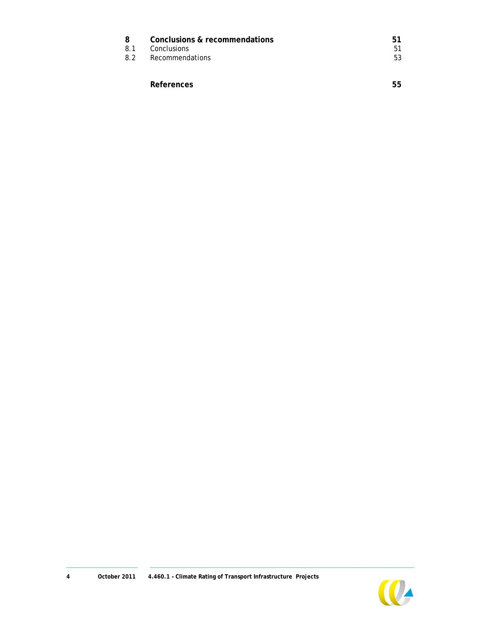| -8 | Conclusions & recommendations | 51  |
|----|-------------------------------|-----|
| 81 | <b>Conclusions</b>            | 51  |
| 82 | Recommendations               | -53 |
|    |                               |     |

| <b>References</b> |  |
|-------------------|--|
|                   |  |

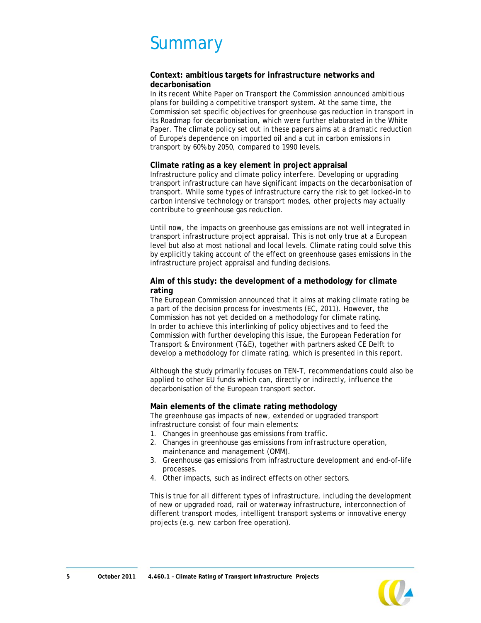### **Summary**

#### **Context: ambitious targets for infrastructure networks and decarbonisation**

In its recent White Paper on Transport the Commission announced ambitious plans for building a competitive transport system. At the same time, the Commission set specific objectives for greenhouse gas reduction in transport in its Roadmap for decarbonisation, which were further elaborated in the White Paper. The climate policy set out in these papers aims at a dramatic reduction of Europe's dependence on imported oil and a cut in carbon emissions in transport by 60% by 2050, compared to 1990 levels.

#### **Climate rating as a key element in project appraisal**

Infrastructure policy and climate policy interfere. Developing or upgrading transport infrastructure can have significant impacts on the decarbonisation of transport. While some types of infrastructure carry the risk to get locked-in to carbon intensive technology or transport modes, other projects may actually contribute to greenhouse gas reduction.

Until now, the impacts on greenhouse gas emissions are not well integrated in transport infrastructure project appraisal. This is not only true at a European level but also at most national and local levels. Climate rating could solve this by explicitly taking account of the effect on greenhouse gases emissions in the infrastructure project appraisal and funding decisions.

#### **Aim of this study: the development of a methodology for climate rating**

The European Commission announced that it aims at making climate rating be a part of the decision process for investments (EC, 2011). However, the Commission has not yet decided on a methodology for climate rating. In order to achieve this interlinking of policy objectives and to feed the Commission with further developing this issue, the European Federation for Transport & Environment (T&E), together with partners asked CE Delft to develop a methodology for climate rating, which is presented in this report.

Although the study primarily focuses on TEN-T, recommendations could also be applied to other EU funds which can, directly or indirectly, influence the decarbonisation of the European transport sector.

#### **Main elements of the climate rating methodology**

The greenhouse gas impacts of new, extended or upgraded transport infrastructure consist of four main elements:

- 1. Changes in greenhouse gas emissions from traffic.
- 2. Changes in greenhouse gas emissions from infrastructure operation, maintenance and management (OMM).
- 3. Greenhouse gas emissions from infrastructure development and end-of-life processes.
- 4. Other impacts, such as indirect effects on other sectors.

This is true for all different types of infrastructure, including the development of new or upgraded road, rail or waterway infrastructure, interconnection of different transport modes, intelligent transport systems or innovative energy projects (e.g. new carbon free operation).

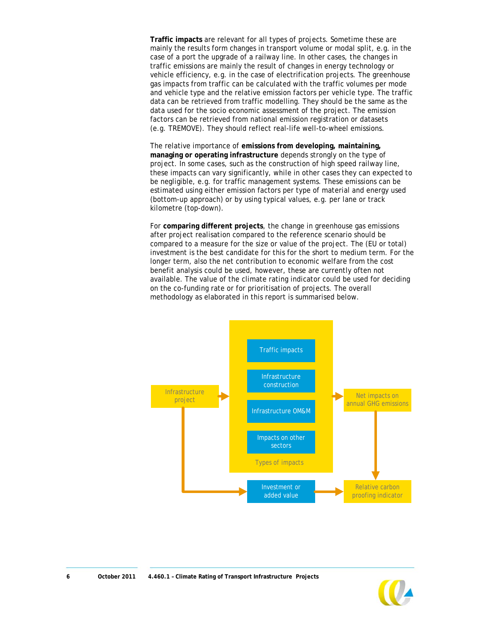**Traffic impacts** are relevant for all types of projects. Sometime these are mainly the results form changes in transport volume or modal split, e.g. in the case of a port the upgrade of a railway line. In other cases, the changes in traffic emissions are mainly the result of changes in energy technology or vehicle efficiency, e.g. in the case of electrification projects. The greenhouse gas impacts from traffic can be calculated with the traffic volumes per mode and vehicle type and the relative emission factors per vehicle type. The traffic data can be retrieved from traffic modelling. They should be the same as the data used for the socio economic assessment of the project. The emission factors can be retrieved from national emission registration or datasets (e.g. TREMOVE). They should reflect real-life well-to-wheel emissions.

The relative importance of **emissions from developing, maintaining, managing or operating infrastructure** depends strongly on the type of project. In some cases, such as the construction of high speed railway line, these impacts can vary significantly, while in other cases they can expected to be negligible, e.g. for traffic management systems. These emissions can be estimated using either emission factors per type of material and energy used (bottom-up approach) or by using typical values, e.g. per lane or track kilometre (top-down).

For **comparing different projects**, the change in greenhouse gas emissions after project realisation compared to the reference scenario should be compared to a measure for the size or value of the project. The (EU or total) investment is the best candidate for this for the short to medium term. For the longer term, also the net contribution to economic welfare from the cost benefit analysis could be used, however, these are currently often not available. The value of the climate rating indicator could be used for deciding on the co-funding rate or for prioritisation of projects. The overall methodology as elaborated in this report is summarised below.



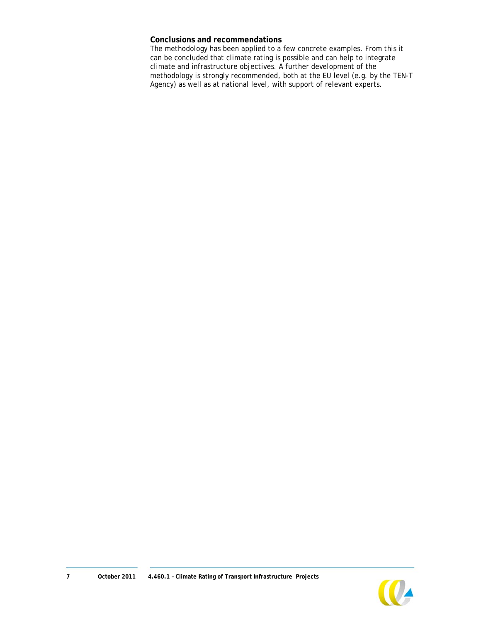#### **Conclusions and recommendations**

The methodology has been applied to a few concrete examples. From this it can be concluded that climate rating is possible and can help to integrate climate and infrastructure objectives. A further development of the methodology is strongly recommended, both at the EU level (e.g. by the TEN-T Agency) as well as at national level, with support of relevant experts.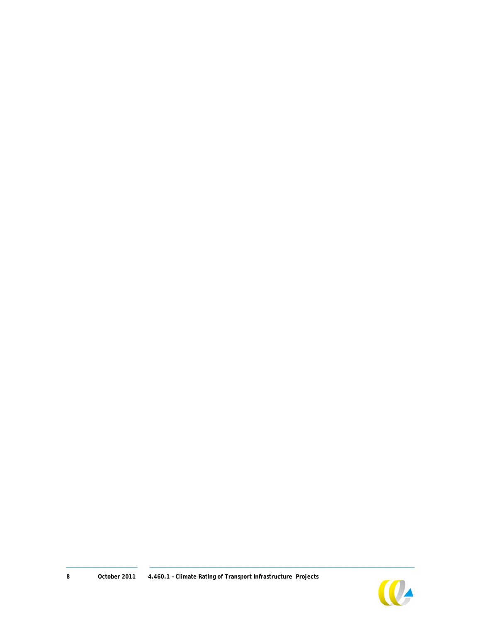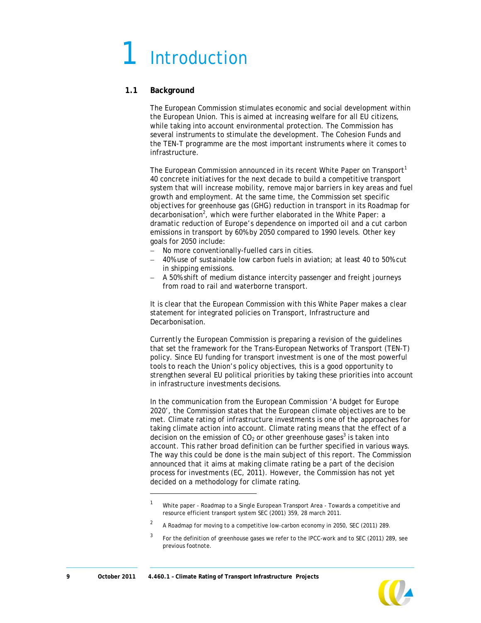# **Introduction**

#### **1.1 Background**

The European Commission stimulates economic and social development within the European Union. This is aimed at increasing welfare for all EU citizens, while taking into account environmental protection. The Commission has several instruments to stimulate the development. The Cohesion Funds and the TEN-T programme are the most important instruments where it comes to infrastructure.

The European Commission announced in its recent White Paper on Transport<sup>1</sup> 40 concrete initiatives for the next decade to build a competitive transport system that will increase mobility, remove major barriers in key areas and fuel growth and employment. At the same time, the Commission set specific objectives for greenhouse gas (GHG) reduction in transport in its Roadmap for decarbonisation<sup>2</sup>, which were further elaborated in the White Paper: a dramatic reduction of Europe's dependence on imported oil and a cut carbon emissions in transport by 60% by 2050 compared to 1990 levels. Other key goals for 2050 include:

- No more conventionally-fuelled cars in cities.
- 40% use of sustainable low carbon fuels in aviation; at least 40 to 50% cut in shipping emissions.
- A 50% shift of medium distance intercity passenger and freight journeys from road to rail and waterborne transport.

It is clear that the European Commission with this White Paper makes a clear statement for integrated policies on Transport, Infrastructure and Decarbonisation.

Currently the European Commission is preparing a revision of the guidelines that set the framework for the Trans-European Networks of Transport (TEN-T) policy. Since EU funding for transport investment is one of the most powerful tools to reach the Union's policy objectives, this is a good opportunity to strengthen several EU political priorities by taking these priorities into account in infrastructure investments decisions.

In the communication from the European Commission 'A budget for Europe 2020', the Commission states that the European climate objectives are to be met. Climate rating of infrastructure investments is one of the approaches for taking climate action into account. Climate rating means that the effect of a decision on the emission of CO<sub>2</sub> or other greenhouse gases<sup>3</sup> is taken into account. This rather broad definition can be further specified in various ways. The way this could be done is the main subject of this report. The Commission announced that it aims at making climate rating be a part of the decision process for investments (EC, 2011). However, the Commission has not yet decided on a methodology for climate rating.

 $\overline{a}$ 



<sup>1</sup> White paper - Roadmap to a Single European Transport Area - Towards a competitive and resource efficient transport system SEC (2001) 359, 28 march 2011.

<sup>2</sup> A Roadmap for moving to a competitive low-carbon economy in 2050, SEC (2011) 289.

<sup>3</sup> For the definition of greenhouse gases we refer to the IPCC-work and to SEC (2011) 289, see previous footnote.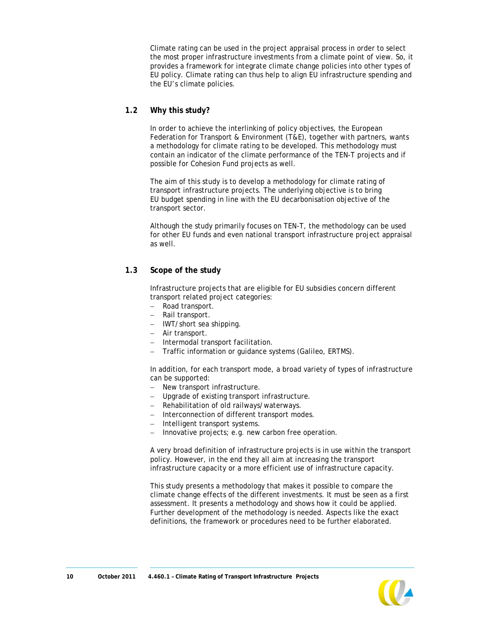Climate rating can be used in the project appraisal process in order to select the most proper infrastructure investments from a climate point of view. So, it provides a framework for integrate climate change policies into other types of EU policy. Climate rating can thus help to align EU infrastructure spending and the EU's climate policies.

#### **1.2 Why this study?**

In order to achieve the interlinking of policy objectives, the European Federation for Transport & Environment (T&E), together with partners, wants a methodology for climate rating to be developed. This methodology must contain an indicator of the climate performance of the TEN-T projects and if possible for Cohesion Fund projects as well.

The aim of this study is to develop a methodology for climate rating of transport infrastructure projects. The underlying objective is to bring EU budget spending in line with the EU decarbonisation objective of the transport sector.

Although the study primarily focuses on TEN-T, the methodology can be used for other EU funds and even national transport infrastructure project appraisal as well.

#### **1.3 Scope of the study**

Infrastructure projects that are eligible for EU subsidies concern different transport related project categories:

- Road transport.
- Rail transport.
- IWT/short sea shipping.
- Air transport.
- Intermodal transport facilitation.
- Traffic information or quidance systems (Galileo, ERTMS).

In addition, for each transport mode, a broad variety of types of infrastructure can be supported:

- New transport infrastructure.
- Upgrade of existing transport infrastructure.
- Rehabilitation of old railways/waterways.
- Interconnection of different transport modes.
- Intelligent transport systems.
- Innovative projects; e.g. new carbon free operation.

A very broad definition of infrastructure projects is in use within the transport policy. However, in the end they all aim at increasing the transport infrastructure capacity or a more efficient use of infrastructure capacity.

This study presents a methodology that makes it possible to compare the climate change effects of the different investments. It must be seen as a first assessment. It presents a methodology and shows how it could be applied. Further development of the methodology is needed. Aspects like the exact definitions, the framework or procedures need to be further elaborated.

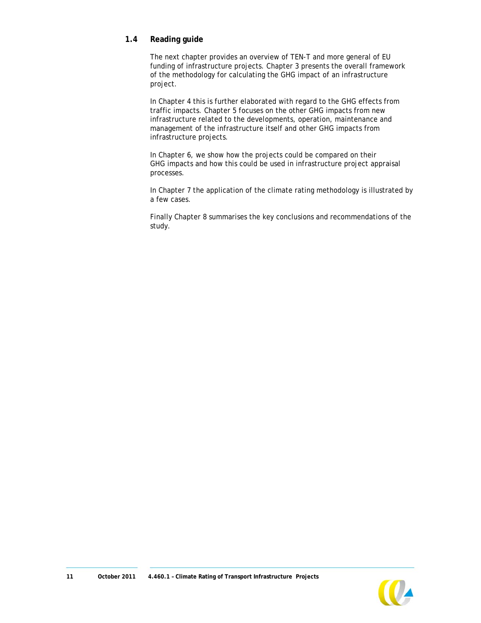#### **1.4 Reading guide**

The next chapter provides an overview of TEN-T and more general of EU funding of infrastructure projects. Chapter 3 presents the overall framework of the methodology for calculating the GHG impact of an infrastructure project.

In Chapter 4 this is further elaborated with regard to the GHG effects from traffic impacts. Chapter 5 focuses on the other GHG impacts from new infrastructure related to the developments, operation, maintenance and management of the infrastructure itself and other GHG impacts from infrastructure projects.

In Chapter 6, we show how the projects could be compared on their GHG impacts and how this could be used in infrastructure project appraisal processes.

In Chapter 7 the application of the climate rating methodology is illustrated by a few cases.

Finally Chapter 8 summarises the key conclusions and recommendations of the study.

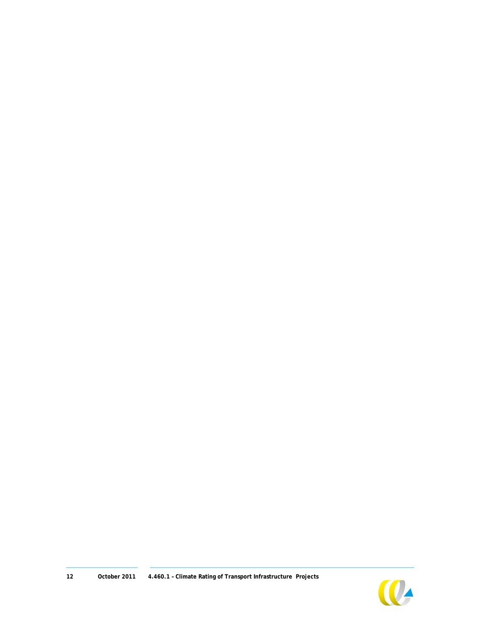

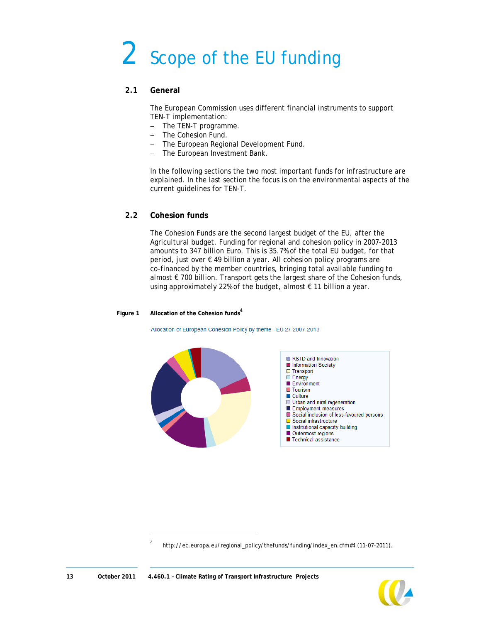# 2 Scope of the EU funding

#### **2.1 General**

The European Commission uses different financial instruments to support TEN-T implementation:

- The TEN-T programme.
- The Cohesion Fund.
- The European Regional Development Fund.
- The European Investment Bank.

In the following sections the two most important funds for infrastructure are explained. In the last section the focus is on the environmental aspects of the current guidelines for TEN-T.

#### **2.2 Cohesion funds**

The Cohesion Funds are the second largest budget of the EU, after the Agricultural budget. Funding for regional and cohesion policy in 2007-2013 amounts to 347 billion Euro. This is 35.7% of the total EU budget, for that period, just over € 49 billion a year. All cohesion policy programs are co-financed by the member countries, bringing total available funding to almost  $\epsilon$  700 billion. Transport gets the largest share of the Cohesion funds, using approximately 22% of the budget, almost  $\epsilon$  11 billion a year.

#### **Figure 1 Allocation of the Cohesion funds<sup>4</sup>**

Allocation of European Cohesion Policy by theme - EU 27 2007-2013



l 4



http://ec.europa.eu/regional\_policy/thefunds/funding/index\_en.cfm#4 (11-07-2011).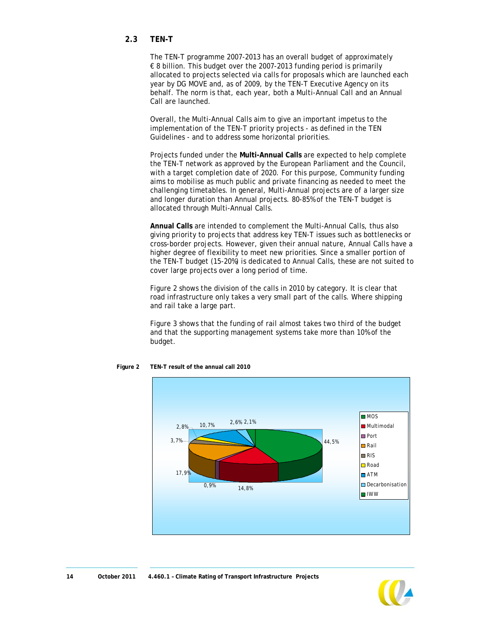#### **2.3 TEN-T**

The TEN-T programme 2007-2013 has an overall budget of approximately  $€ 8$  billion. This budget over the 2007-2013 funding period is primarily allocated to projects selected via calls for proposals which are launched each year by DG MOVE and, as of 2009, by the TEN-T Executive Agency on its behalf. The norm is that, each year, both a Multi-Annual Call and an Annual Call are launched.

Overall, the Multi-Annual Calls aim to give an important impetus to the implementation of the TEN-T priority projects - as defined in the TEN Guidelines - and to address some horizontal priorities.

Projects funded under the **Multi-Annual Calls** are expected to help complete the TEN-T network as approved by the European Parliament and the Council, with a target completion date of 2020. For this purpose, Community funding aims to mobilise as much public and private financing as needed to meet the challenging timetables. In general, Multi-Annual projects are of a larger size and longer duration than Annual projects. 80-85% of the TEN-T budget is allocated through Multi-Annual Calls.

**Annual Calls** are intended to complement the Multi-Annual Calls, thus also giving priority to projects that address key TEN-T issues such as bottlenecks or cross-border projects. However, given their annual nature, Annual Calls have a higher degree of flexibility to meet new priorities. Since a smaller portion of the TEN-T budget (15-20%) is dedicated to Annual Calls, these are not suited to cover large projects over a long period of time.

Figure 2 shows the division of the calls in 2010 by category. It is clear that road infrastructure only takes a very small part of the calls. Where shipping and rail take a large part.

Figure 3 shows that the funding of rail almost takes two third of the budget and that the supporting management systems take more than 10% of the budget.



#### **Figure 2 TEN-T result of the annual call 2010**



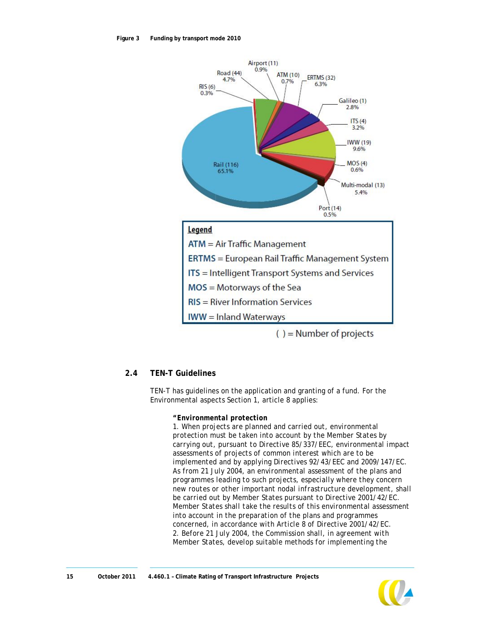

 $()$  = Number of projects

#### **2.4 TEN-T Guidelines**

TEN-T has guidelines on the application and granting of a fund. For the Environmental aspects Section 1, article 8 applies:

#### *"Environmental protection*

*1. When projects are planned and carried out, environmental protection must be taken into account by the Member States by carrying out, pursuant to Directive 85/337/EEC, environmental impact assessments of projects of common interest which are to be implemented and by applying Directives 92/43/EEC and 2009/147/EC. As from 21 July 2004, an environmental assessment of the plans and programmes leading to such projects, especially where they concern new routes or other important nodal infrastructure development, shall be carried out by Member States pursuant to Directive 2001/42/EC. Member States shall take the results of this environmental assessment into account in the preparation of the plans and programmes concerned, in accordance with Article 8 of Directive 2001/42/EC. 2. Before 21 July 2004, the Commission shall, in agreement with Member States, develop suitable methods for implementing the* 

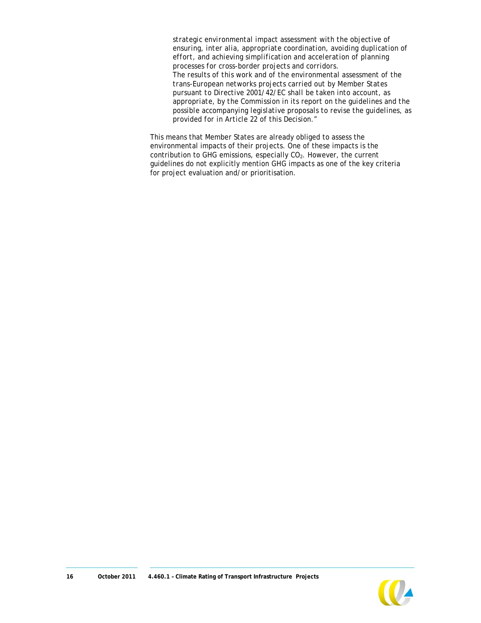*strategic environmental impact assessment with the objective of ensuring, inter alia, appropriate coordination, avoiding duplication of effort, and achieving simplification and acceleration of planning processes for cross-border projects and corridors. The results of this work and of the environmental assessment of the trans-European networks projects carried out by Member States pursuant to Directive 2001/42/EC shall be taken into account, as appropriate, by the Commission in its report on the guidelines and the possible accompanying legislative proposals to revise the guidelines, as provided for in Article 22 of this Decision."* 

This means that Member States are already obliged to assess the environmental impacts of their projects. One of these impacts is the contribution to GHG emissions, especially  $CO<sub>2</sub>$ . However, the current guidelines do not explicitly mention GHG impacts as one of the key criteria for project evaluation and/or prioritisation.

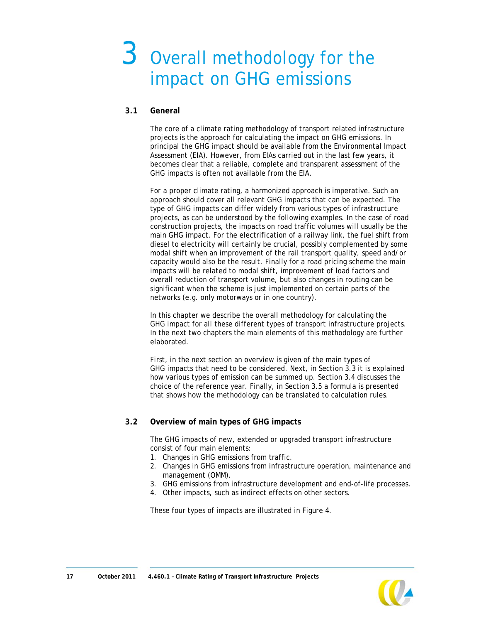# 3 Overall methodology for the impact on GHG emissions

#### **3.1 General**

The core of a climate rating methodology of transport related infrastructure projects is the approach for calculating the impact on GHG emissions. In principal the GHG impact should be available from the Environmental Impact Assessment (EIA). However, from EIAs carried out in the last few years, it becomes clear that a reliable, complete and transparent assessment of the GHG impacts is often not available from the EIA.

For a proper climate rating, a harmonized approach is imperative. Such an approach should cover all relevant GHG impacts that can be expected. The type of GHG impacts can differ widely from various types of infrastructure projects, as can be understood by the following examples. In the case of road construction projects, the impacts on road traffic volumes will usually be the main GHG impact. For the electrification of a railway link, the fuel shift from diesel to electricity will certainly be crucial, possibly complemented by some modal shift when an improvement of the rail transport quality, speed and/or capacity would also be the result. Finally for a road pricing scheme the main impacts will be related to modal shift, improvement of load factors and overall reduction of transport volume, but also changes in routing can be significant when the scheme is just implemented on certain parts of the networks (e.g. only motorways or in one country).

In this chapter we describe the overall methodology for calculating the GHG impact for all these different types of transport infrastructure projects. In the next two chapters the main elements of this methodology are further elaborated.

First, in the next section an overview is given of the main types of GHG impacts that need to be considered. Next, in Section 3.3 it is explained how various types of emission can be summed up. Section 3.4 discusses the choice of the reference year. Finally, in Section 3.5 a formula is presented that shows how the methodology can be translated to calculation rules.

#### **3.2 Overview of main types of GHG impacts**

The GHG impacts of new, extended or upgraded transport infrastructure consist of four main elements:

- 1. Changes in GHG emissions from traffic.
- 2. Changes in GHG emissions from infrastructure operation, maintenance and management (OMM).
- 3. GHG emissions from infrastructure development and end-of-life processes.
- 4. Other impacts, such as indirect effects on other sectors.

These four types of impacts are illustrated in Figure 4.

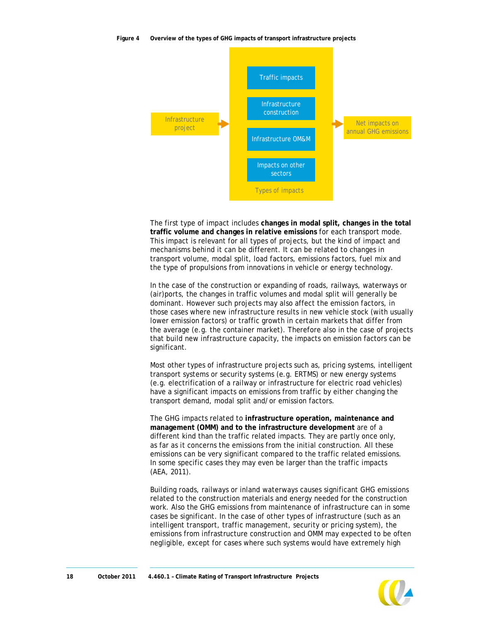**Figure 4 Overview of the types of GHG impacts of transport infrastructure projects** 



The first type of impact includes **changes in modal split, changes in the total traffic volume and changes in relative emissions** for each transport mode. This impact is relevant for all types of projects, but the kind of impact and mechanisms behind it can be different. It can be related to changes in transport volume, modal split, load factors, emissions factors, fuel mix and the type of propulsions from innovations in vehicle or energy technology.

In the case of the construction or expanding of roads, railways, waterways or (air)ports, the changes in traffic volumes and modal split will generally be dominant. However such projects may also affect the emission factors, in those cases where new infrastructure results in new vehicle stock (with usually lower emission factors) or traffic growth in certain markets that differ from the average (e.g. the container market). Therefore also in the case of projects that build new infrastructure capacity, the impacts on emission factors can be significant.

Most other types of infrastructure projects such as, pricing systems, intelligent transport systems or security systems (e.g. ERTMS) or new energy systems (e.g. electrification of a railway or infrastructure for electric road vehicles) have a significant impacts on emissions from traffic by either changing the transport demand, modal split and/or emission factors.

The GHG impacts related to **infrastructure operation, maintenance and management (OMM) and to the infrastructure development** are of a different kind than the traffic related impacts. They are partly once only, as far as it concerns the emissions from the initial construction. All these emissions can be very significant compared to the traffic related emissions. In some specific cases they may even be larger than the traffic impacts (AEA, 2011).

Building roads, railways or inland waterways causes significant GHG emissions related to the construction materials and energy needed for the construction work. Also the GHG emissions from maintenance of infrastructure can in some cases be significant. In the case of other types of infrastructure (such as an intelligent transport, traffic management, security or pricing system), the emissions from infrastructure construction and OMM may expected to be often negligible, except for cases where such systems would have extremely high

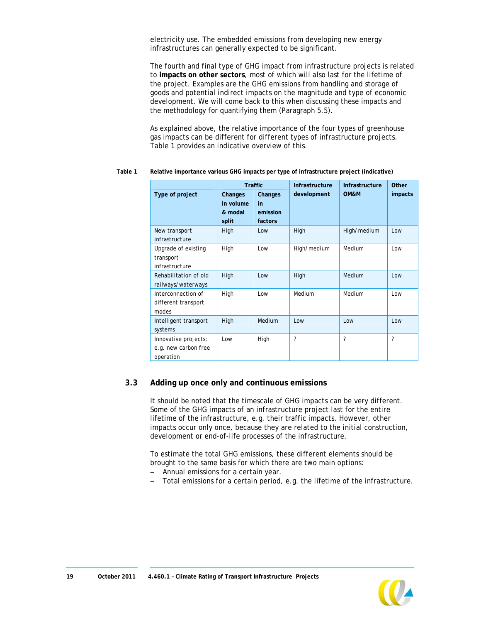electricity use. The embedded emissions from developing new energy infrastructures can generally expected to be significant.

The fourth and final type of GHG impact from infrastructure projects is related to **impacts on other sectors**, most of which will also last for the lifetime of the project. Examples are the GHG emissions from handling and storage of goods and potential indirect impacts on the magnitude and type of economic development. We will come back to this when discussing these impacts and the methodology for quantifying them (Paragraph 5.5).

As explained above, the relative importance of the four types of greenhouse gas impacts can be different for different types of infrastructure projects. Table 1 provides an indicative overview of this.

|                       | <b>Traffic</b> |          | <b>Infrastructure</b> | Infrastructure | Other             |
|-----------------------|----------------|----------|-----------------------|----------------|-------------------|
| Type of project       | Changes        | Changes  | development           | OM&M           | impacts           |
|                       | in volume      | in       |                       |                |                   |
|                       | & modal        | emission |                       |                |                   |
|                       | split          | factors  |                       |                |                   |
| New transport         | High           | Low      | High                  | High/medium    | Low               |
| infrastructure        |                |          |                       |                |                   |
| Upgrade of existing   | High           | Low      | High/medium           | Medium         | Low               |
| transport             |                |          |                       |                |                   |
| infrastructure        |                |          |                       |                |                   |
| Rehabilitation of old | High           | Low      | High                  | Medium         | $\overline{1}$ OW |
| railways/waterways    |                |          |                       |                |                   |
| Interconnection of    | High           | Low      | Medium                | Medium         | Low               |
| different transport   |                |          |                       |                |                   |
| modes                 |                |          |                       |                |                   |
| Intelligent transport | High           | Medium   | Low                   | Low            | Low               |
| systems               |                |          |                       |                |                   |
| Innovative projects;  | Low            | High     | ?                     | ?              | ?                 |
| e.g. new carbon free  |                |          |                       |                |                   |
| operation             |                |          |                       |                |                   |

**Table 1 Relative importance various GHG impacts per type of infrastructure project (indicative)** 

#### **3.3 Adding up once only and continuous emissions**

It should be noted that the timescale of GHG impacts can be very different. Some of the GHG impacts of an infrastructure project last for the entire lifetime of the infrastructure, e.g. their traffic impacts. However, other impacts occur only once, because they are related to the initial construction, development or end-of-life processes of the infrastructure.

To estimate the total GHG emissions, these different elements should be brought to the same basis for which there are two main options:

- Annual emissions for a certain year.
- Total emissions for a certain period, e.g. the lifetime of the infrastructure.

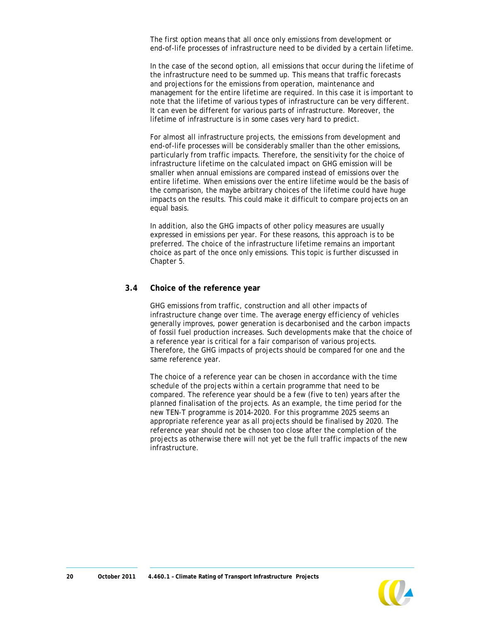The first option means that all once only emissions from development or end-of-life processes of infrastructure need to be divided by a certain lifetime.

In the case of the second option, all emissions that occur during the lifetime of the infrastructure need to be summed up. This means that traffic forecasts and projections for the emissions from operation, maintenance and management for the entire lifetime are required. In this case it is important to note that the lifetime of various types of infrastructure can be very different. It can even be different for various parts of infrastructure. Moreover, the lifetime of infrastructure is in some cases very hard to predict.

For almost all infrastructure projects, the emissions from development and end-of-life processes will be considerably smaller than the other emissions, particularly from traffic impacts. Therefore, the sensitivity for the choice of infrastructure lifetime on the calculated impact on GHG emission will be smaller when annual emissions are compared instead of emissions over the entire lifetime. When emissions over the entire lifetime would be the basis of the comparison, the maybe arbitrary choices of the lifetime could have huge impacts on the results. This could make it difficult to compare projects on an equal basis.

In addition, also the GHG impacts of other policy measures are usually expressed in emissions per year. For these reasons, this approach is to be preferred. The choice of the infrastructure lifetime remains an important choice as part of the once only emissions. This topic is further discussed in Chapter 5.

#### **3.4 Choice of the reference year**

GHG emissions from traffic, construction and all other impacts of infrastructure change over time. The average energy efficiency of vehicles generally improves, power generation is decarbonised and the carbon impacts of fossil fuel production increases. Such developments make that the choice of a reference year is critical for a fair comparison of various projects. Therefore, the GHG impacts of projects should be compared for one and the same reference year.

The choice of a reference year can be chosen in accordance with the time schedule of the projects within a certain programme that need to be compared. The reference year should be a few (five to ten) years after the planned finalisation of the projects. As an example, the time period for the new TEN-T programme is 2014-2020. For this programme 2025 seems an appropriate reference year as all projects should be finalised by 2020. The reference year should not be chosen too close after the completion of the projects as otherwise there will not yet be the full traffic impacts of the new infrastructure.

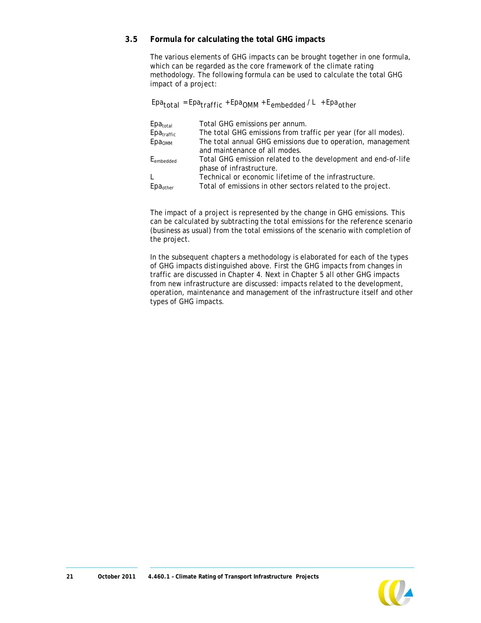#### **3.5 Formula for calculating the total GHG impacts**

The various elements of GHG impacts can be brought together in one formula, which can be regarded as the core framework of the climate rating methodology. The following formula can be used to calculate the total GHG impact of a project:

 $Epa_{total} = Epa_{traftic} + Epa_{OMM} + E_{embedded} / L + Epa_{other}$ 

| $Epa$ <sub>total</sub><br>Epa <sub>traffic</sub> | Total GHG emissions per annum.<br>The total GHG emissions from traffic per year (for all modes).                     |
|--------------------------------------------------|----------------------------------------------------------------------------------------------------------------------|
| Epa <sub>OMM</sub>                               | The total annual GHG emissions due to operation, management<br>and maintenance of all modes.                         |
| $E_{\mathsf{embedded}}$                          | Total GHG emission related to the development and end-of-life<br>phase of infrastructure.                            |
|                                                  | Technical or economic lifetime of the infrastructure.<br>Total of emissions in other sectors related to the project. |

The impact of a project is represented by the *change* in GHG emissions. This can be calculated by subtracting the total emissions for the reference scenario (business as usual) from the total emissions of the scenario with completion of the project.

In the subsequent chapters a methodology is elaborated for each of the types of GHG impacts distinguished above. First the GHG impacts from changes in traffic are discussed in Chapter 4. Next in Chapter 5 all other GHG impacts from new infrastructure are discussed: impacts related to the development, operation, maintenance and management of the infrastructure itself and other types of GHG impacts.

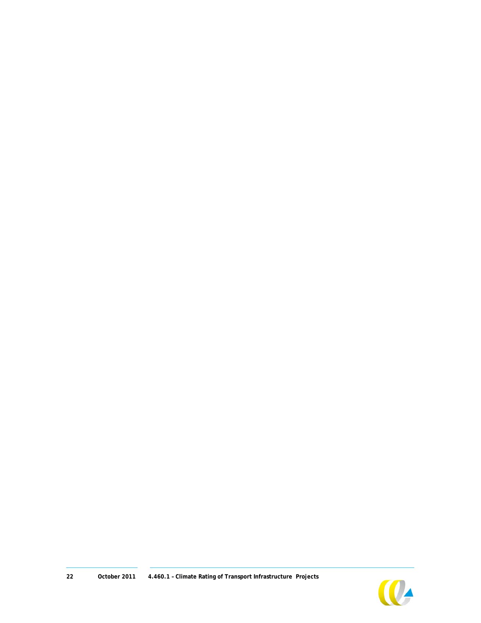

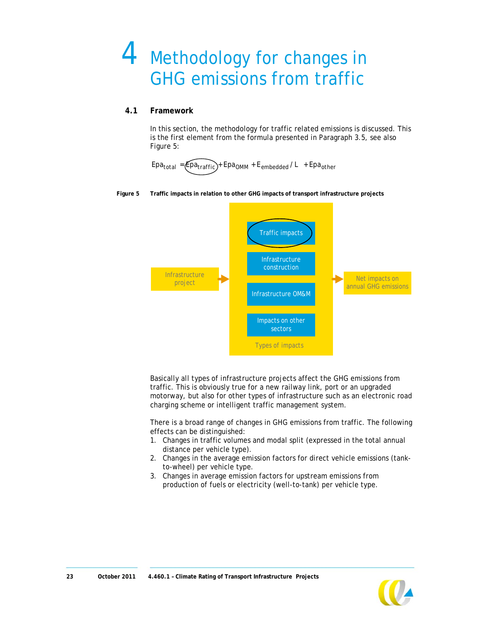# 4 Methodology for changes in GHG emissions from traffic

#### **4.1 Framework**

In this section, the methodology for traffic related emissions is discussed. This is the first element from the formula presented in Paragraph 3.5, see also Figure 5:

*Epatotal* = *Epatraffic* + *EpaOMM* + *Eembedded* /*L* + *Epaother*





Basically all types of infrastructure projects affect the GHG emissions from traffic. This is obviously true for a new railway link, port or an upgraded motorway, but also for other types of infrastructure such as an electronic road charging scheme or intelligent traffic management system.

There is a broad range of changes in GHG emissions from traffic. The following effects can be distinguished:

- 1. Changes in traffic volumes and modal split (expressed in the total annual distance per vehicle type).
- 2. Changes in the average emission factors for direct vehicle emissions (tankto-wheel) per vehicle type.
- 3. Changes in average emission factors for upstream emissions from production of fuels or electricity (well-to-tank) per vehicle type.

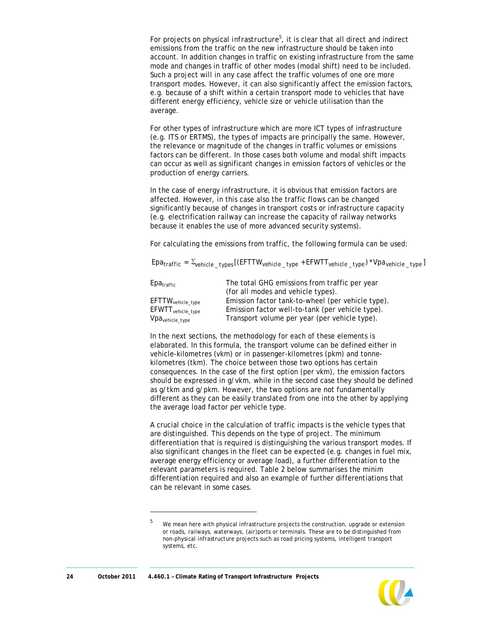For projects on *physical infrastructure<sup>5</sup>* , it is clear that all direct and indirect emissions from the traffic on the new infrastructure should be taken into account. In addition changes in traffic on existing infrastructure from the same mode and changes in traffic of other modes (modal shift) need to be included. Such a project will in any case affect the traffic volumes of one ore more transport modes. However, it can also significantly affect the emission factors, e.g. because of a shift within a certain transport mode to vehicles that have different energy efficiency, vehicle size or vehicle utilisation than the average.

For other types of infrastructure which are more ICT types of infrastructure (e.g. ITS or ERTMS), the types of impacts are principally the same. However, the relevance or magnitude of the changes in traffic volumes or emissions factors can be different. In those cases both volume and modal shift impacts can occur as well as significant changes in emission factors of vehicles or the production of energy carriers.

In the case of energy infrastructure, it is obvious that emission factors are affected. However, in this case also the traffic flows can be changed significantly because of changes in transport costs or infrastructure capacity (e.g. electrification railway can increase the capacity of railway networks because it enables the use of more advanced security systems).

For calculating the emissions from traffic, the following formula can be used:

 $Epa_{\text{traffic}} = \sum_{\text{vehicle\_types}} [(EFTTW_{\text{vehicle\_type}} + EFWTT_{\text{vehicle\_type}}) * Vpa_{\text{vehicle\_type}}]$ 

| Epa <sub>traffic</sub>                    | The total GHG emissions from traffic per year     |
|-------------------------------------------|---------------------------------------------------|
|                                           | (for all modes and vehicle types).                |
| $\mathsf{EFTTW}_{\mathsf{vehicle\_type}}$ | Emission factor tank-to-wheel (per vehicle type). |
| $\mathsf{EFWTT}_{\mathsf{vehicle\_type}}$ | Emission factor well-to-tank (per vehicle type).  |
| $Vpavehicle_type$                         | Transport volume per year (per vehicle type).     |

In the next sections, the methodology for each of these elements is elaborated. In this formula, the transport volume can be defined either in vehicle-kilometres (vkm) or in passenger-kilometres (pkm) and tonnekilometres (tkm). The choice between those two options has certain consequences. In the case of the first option (per vkm), the emission factors should be expressed in g/vkm, while in the second case they should be defined as g/tkm and g/pkm. However, the two options are not fundamentally different as they can be easily translated from one into the other by applying the average load factor per vehicle type.

A crucial choice in the calculation of traffic impacts is the vehicle types that are distinguished. This depends on the type of project. The minimum differentiation that is required is distinguishing the various transport modes. If also significant changes in the fleet can be expected (e.g. changes in fuel mix, average energy efficiency or average load), a further differentiation to the relevant parameters is required. Table 2 below summarises the minim differentiation required and also an example of further differentiations that can be relevant in some cases.

 $\overline{a}$ 5



We mean here with physical infrastructure projects the construction, upgrade or extension or roads, railways, waterways, (air)ports or terminals. These are to be distinguished from *non-physical* infrastructure projects such as road pricing systems, intelligent transport systems, etc.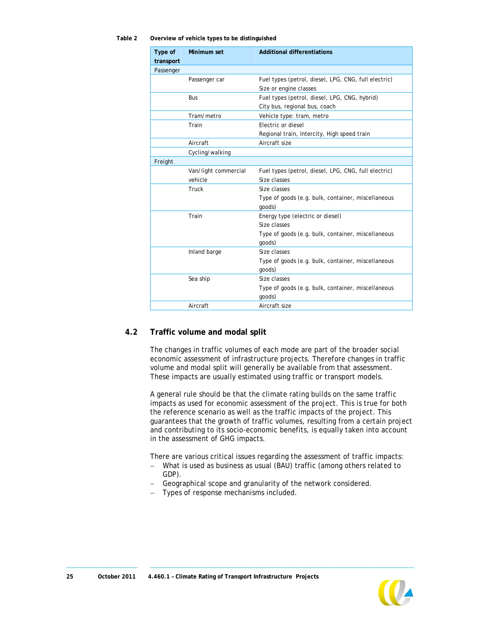**Table 2 Overview of vehicle types to be distinguished** 

| Type of<br>transport | Minimum set                     | <b>Additional differentiations</b>                                                                               |
|----------------------|---------------------------------|------------------------------------------------------------------------------------------------------------------|
| Passenger            |                                 |                                                                                                                  |
|                      | Passenger car                   | Fuel types (petrol, diesel, LPG, CNG, full electric)<br>Size or engine classes                                   |
|                      | <b>Bus</b>                      | Fuel types (petrol, diesel, LPG, CNG, hybrid)<br>City bus, regional bus, coach                                   |
|                      | Tram/metro                      | Vehicle type: tram, metro                                                                                        |
|                      | Train                           | Electric or diesel<br>Regional train, Intercity, High speed train                                                |
|                      | Aircraft                        | Aircraft size                                                                                                    |
|                      | Cycling/walking                 |                                                                                                                  |
| Freight              |                                 |                                                                                                                  |
|                      | Van/light commercial<br>vehicle | Fuel types (petrol, diesel, LPG, CNG, full electric)<br>Size classes                                             |
|                      | Truck                           | Size classes<br>Type of goods (e.g. bulk, container, miscellaneous<br>qoods)                                     |
|                      | Train                           | Energy type (electric or diesel)<br>Size classes<br>Type of goods (e.g. bulk, container, miscellaneous<br>goods) |
|                      | Inland barge                    | Size classes<br>Type of goods (e.g. bulk, container, miscellaneous<br>qoods)                                     |
|                      | Sea ship                        | Size classes<br>Type of goods (e.g. bulk, container, miscellaneous<br>qoods)                                     |
|                      | Aircraft                        | Aircraft size                                                                                                    |

#### **4.2 Traffic volume and modal split**

The changes in traffic volumes of each mode are part of the broader social economic assessment of infrastructure projects. Therefore changes in traffic volume and modal split will generally be available from that assessment. These impacts are usually estimated using traffic or transport models.

A general rule should be that the climate rating builds on the same traffic impacts as used for economic assessment of the project. This is true for both the reference scenario as well as the traffic impacts of the project. This guarantees that the growth of traffic volumes, resulting from a certain project and contributing to its socio-economic benefits, is equally taken into account in the assessment of GHG impacts.

There are various critical issues regarding the assessment of traffic impacts:

- What is used as business as usual (BAU) traffic (among others related to GDP).
- Geographical scope and granularity of the network considered.
- Types of response mechanisms included.

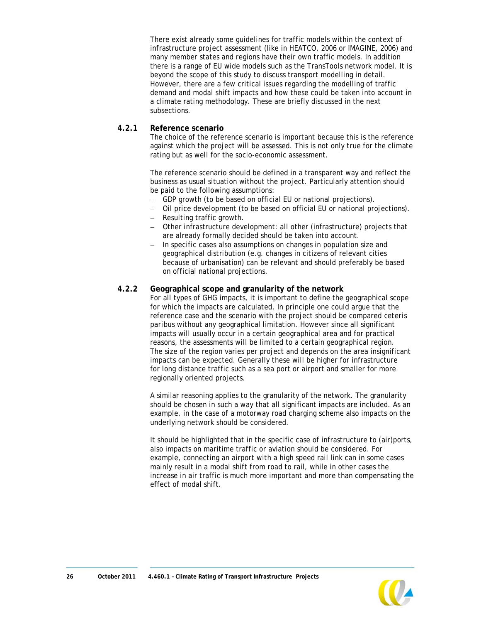There exist already some guidelines for traffic models within the context of infrastructure project assessment (like in HEATCO, 2006 or IMAGINE, 2006) and many member states and regions have their own traffic models. In addition there is a range of EU wide models such as the TransTools network model. It is beyond the scope of this study to discuss transport modelling in detail. However, there are a few critical issues regarding the modelling of traffic demand and modal shift impacts and how these could be taken into account in a climate rating methodology. These are briefly discussed in the next subsections.

#### **4.2.1 Reference scenario**

The choice of the reference scenario is important because this is the reference against which the project will be assessed. This is not only true for the climate rating but as well for the socio-economic assessment.

The reference scenario should be defined in a transparent way and reflect the business as usual situation without the project. Particularly attention should be paid to the following assumptions:

- GDP growth (to be based on official EU or national projections).
- Oil price development (to be based on official EU or national projections).
- Resulting traffic growth.
- Other infrastructure development: all other (infrastructure) projects that are already formally decided should be taken into account.
- In specific cases also assumptions on changes in population size and geographical distribution (e.g. changes in citizens of relevant cities because of urbanisation) can be relevant and should preferably be based on official national projections.

#### **4.2.2 Geographical scope and granularity of the network**

For all types of GHG impacts, it is important to define the geographical scope for which the impacts are calculated. In principle one could argue that the reference case and the scenario with the project should be compared *ceteris paribus* without any geographical limitation*.* However since all significant impacts will usually occur in a certain geographical area and for practical reasons, the assessments will be limited to a certain geographical region. The size of the region varies per project and depends on the area insignificant impacts can be expected. Generally these will be higher for infrastructure for long distance traffic such as a sea port or airport and smaller for more regionally oriented projects.

A similar reasoning applies to the granularity of the network. The granularity should be chosen in such a way that all significant impacts are included. As an example, in the case of a motorway road charging scheme also impacts on the underlying network should be considered.

It should be highlighted that in the specific case of infrastructure to (air)ports, also impacts on maritime traffic or aviation should be considered. For example, connecting an airport with a high speed rail link can in some cases mainly result in a modal shift from road to rail, while in other cases the increase in air traffic is much more important and more than compensating the effect of modal shift.

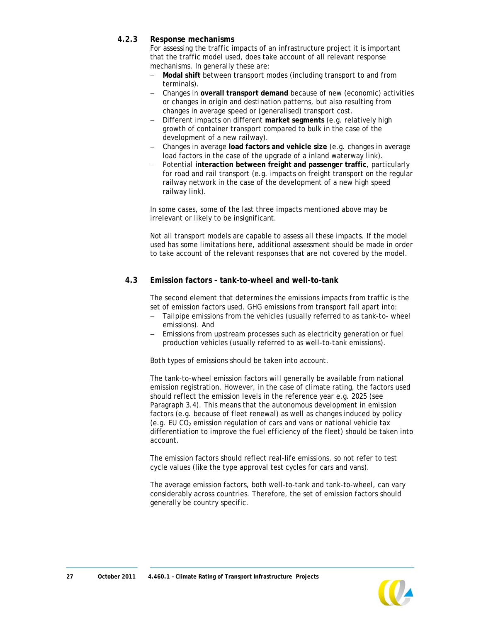#### **4.2.3 Response mechanisms**

For assessing the traffic impacts of an infrastructure project it is important that the traffic model used, does take account of all relevant response mechanisms. In generally these are:

- **Modal shift** between transport modes (including transport to and from terminals).
- Changes in **overall transport demand** because of new (economic) activities or changes in origin and destination patterns, but also resulting from changes in average speed or (generalised) transport cost.
- Different impacts on different **market segments** (e.g. relatively high growth of container transport compared to bulk in the case of the development of a new railway).
- Changes in average **load factors and vehicle size** (e.g. changes in average load factors in the case of the upgrade of a inland waterway link).
- Potential **interaction between freight and passenger traffic**, particularly for road and rail transport (e.g. impacts on freight transport on the regular railway network in the case of the development of a new high speed railway link).

In some cases, some of the last three impacts mentioned above may be irrelevant or likely to be insignificant.

Not all transport models are capable to assess all these impacts. If the model used has some limitations here, additional assessment should be made in order to take account of the relevant responses that are not covered by the model.

#### **4.3 Emission factors – tank-to-wheel and well-to-tank**

The second element that determines the emissions impacts from traffic is the set of emission factors used. GHG emissions from transport fall apart into:

- Tailpipe emissions from the vehicles (usually referred to as *tank-to- wheel*  emissions). And
- Emissions from upstream processes such as electricity generation or fuel production vehicles (usually referred to as *well-to-tank* emissions).

Both types of emissions should be taken into account.

The tank-to-wheel emission factors will generally be available from national emission registration. However, in the case of climate rating, the factors used should reflect the emission levels in the reference year e.g. 2025 (see Paragraph 3.4). This means that the autonomous development in emission factors (e.g. because of fleet renewal) as well as changes induced by policy (e.g. EU  $CO<sub>2</sub>$  emission regulation of cars and vans or national vehicle tax differentiation to improve the fuel efficiency of the fleet) should be taken into account.

The emission factors should reflect real-life emissions, so not refer to test cycle values (like the type approval test cycles for cars and vans).

The average emission factors, both well-to-tank and tank-to-wheel, can vary considerably across countries. Therefore, the set of emission factors should generally be country specific.

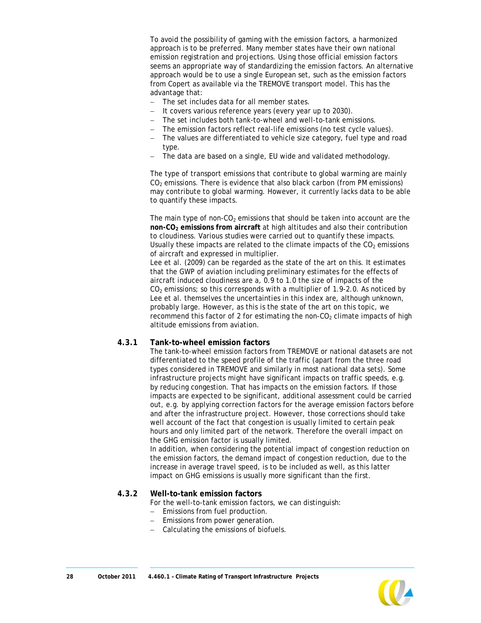To avoid the possibility of gaming with the emission factors, a harmonized approach is to be preferred. Many member states have their own national emission registration and projections. Using those official emission factors seems an appropriate way of standardizing the emission factors. An alternative approach would be to use a single European set, such as the emission factors from Copert as available via the TREMOVE transport model. This has the advantage that:

- The set includes data for all member states.
- It covers various reference years (every year up to 2030).
- The set includes both tank-to-wheel and well-to-tank emissions.
- The emission factors reflect real-life emissions (no test cycle values).
- The values are differentiated to vehicle size category, fuel type and road type.
- The data are based on a single, EU wide and validated methodology.

The type of transport emissions that contribute to global warming are mainly  $CO<sub>2</sub>$  emissions. There is evidence that also black carbon (from PM emissions) may contribute to global warming. However, it currently lacks data to be able to quantify these impacts.

The main type of non-CO<sub>2</sub> emissions that should be taken into account are the **non-CO2 emissions from aircraft** at high altitudes and also their contribution to cloudiness. Various studies were carried out to quantify these impacts. Usually these impacts are related to the climate impacts of the  $CO<sub>2</sub>$  emissions of aircraft and expressed in multiplier.

Lee et al. (2009) can be regarded as the state of the art on this. It estimates that the GWP of aviation including preliminary estimates for the effects of aircraft induced cloudiness are a, 0.9 to 1.0 the size of impacts of the  $CO<sub>2</sub>$  emissions; so this corresponds with a multiplier of 1.9-2.0. As noticed by Lee et al. themselves the uncertainties in this index are, although unknown, probably large. However, as this is the state of the art on this topic, we recommend this factor of 2 for estimating the non-CO<sub>2</sub> climate impacts of high altitude emissions from aviation.

#### **4.3.1 Tank-to-wheel emission factors**

The tank-to-wheel emission factors from TREMOVE or national datasets are not differentiated to the speed profile of the traffic (apart from the three road types considered in TREMOVE and similarly in most national data sets). Some infrastructure projects might have significant impacts on traffic speeds, e.g. by reducing congestion. That has impacts on the emission factors. If those impacts are expected to be significant, additional assessment could be carried out, e.g. by applying correction factors for the average emission factors before and after the infrastructure project. However, those corrections should take well account of the fact that congestion is usually limited to certain peak hours and only limited part of the network. Therefore the overall impact on the GHG emission factor is usually limited.

In addition, when considering the potential impact of congestion reduction on the emission factors, the demand impact of congestion reduction, due to the increase in average travel speed, is to be included as well, as this latter impact on GHG emissions is usually more significant than the first.

#### **4.3.2 Well-to-tank emission factors**

For the well-to-tank emission factors, we can distinguish:

- Emissions from fuel production.
- Emissions from power generation.
- Calculating the emissions of biofuels.

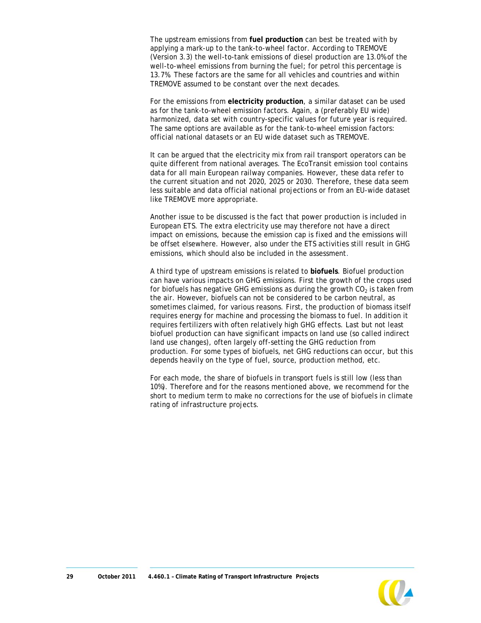The upstream emissions from **fuel production** can best be treated with by applying a mark-up to the tank-to-wheel factor. According to TREMOVE (Version 3.3) the well-to-tank emissions of diesel production are 13.0% of the well-to-wheel emissions from burning the fuel; for petrol this percentage is 13.7%. These factors are the same for all vehicles and countries and within TREMOVE assumed to be constant over the next decades.

For the emissions from **electricity production**, a similar dataset can be used as for the tank-to-wheel emission factors. Again, a (preferably EU wide) harmonized, data set with country-specific values for future year is required. The same options are available as for the tank-to-wheel emission factors: official national datasets or an EU wide dataset such as TREMOVE.

It can be argued that the electricity mix from rail transport operators can be quite different from national averages. The EcoTransit emission tool contains data for all main European railway companies. However, these data refer to the current situation and not 2020, 2025 or 2030. Therefore, these data seem less suitable and data official national projections or from an EU-wide dataset like TREMOVE more appropriate.

Another issue to be discussed is the fact that power production is included in European ETS. The extra electricity use may therefore not have a direct impact on emissions, because the emission cap is fixed and the emissions will be offset elsewhere. However, also under the ETS activities still result in GHG emissions, which should also be included in the assessment.

A third type of upstream emissions is related to **biofuels**. Biofuel production can have various impacts on GHG emissions. First the growth of the crops used for biofuels has negative GHG emissions as during the growth  $CO<sub>2</sub>$  is taken from the air. However, biofuels can not be considered to be carbon neutral, as sometimes claimed, for various reasons. First, the production of biomass itself requires energy for machine and processing the biomass to fuel. In addition it requires fertilizers with often relatively high GHG effects. Last but not least biofuel production can have significant impacts on land use (so called indirect land use changes), often largely off-setting the GHG reduction from production. For some types of biofuels, net GHG reductions can occur, but this depends heavily on the type of fuel, source, production method, etc.

For each mode, the share of biofuels in transport fuels is still low (less than 10%). Therefore and for the reasons mentioned above, we recommend for the short to medium term to make no corrections for the use of biofuels in climate rating of infrastructure projects.

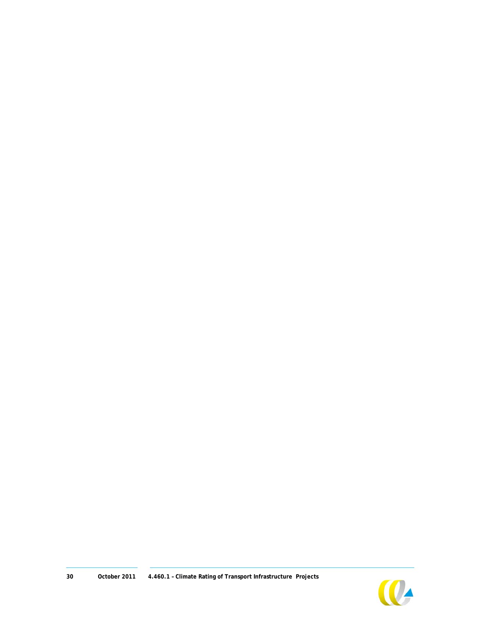

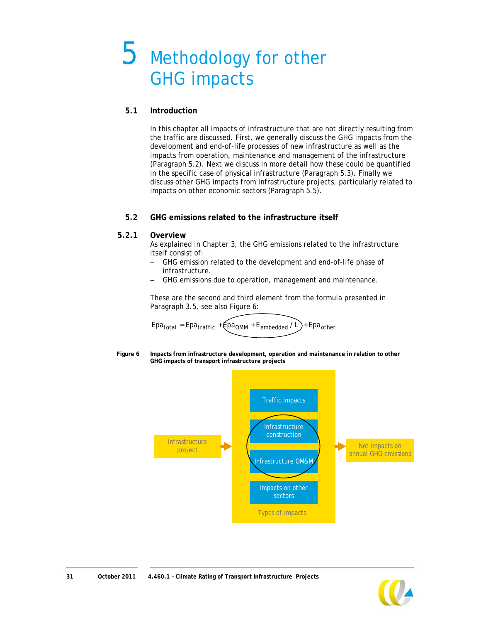# 5 Methodology for other GHG impacts

#### **5.1 Introduction**

In this chapter all impacts of infrastructure that are not directly resulting from the traffic are discussed. First, we generally discuss the GHG impacts from the development and end-of-life processes of new infrastructure as well as the impacts from operation, maintenance and management of the infrastructure (Paragraph 5.2). Next we discuss in more detail how these could be quantified in the specific case of physical infrastructure (Paragraph 5.3). Finally we discuss other GHG impacts from infrastructure projects, particularly related to impacts on other economic sectors (Paragraph 5.5).

#### **5.2 GHG emissions related to the infrastructure itself**

#### **5.2.1 Overview**

As explained in Chapter 3, the GHG emissions related to the infrastructure itself consist of:

- GHG emission related to the development and end-of-life phase of infrastructure.
- GHG emissions due to operation, management and maintenance.

These are the second and third element from the formula presented in Paragraph 3.5, see also Figure 6:

 $Epa_{total} = Epa_{traffic} + Epa_{OMM} + E_{embedded} / L) + Epa_{other}$ 

- 
- **Figure 6 Impacts from infrastructure development, operation and maintenance in relation to other GHG impacts of transport infrastructure projects**



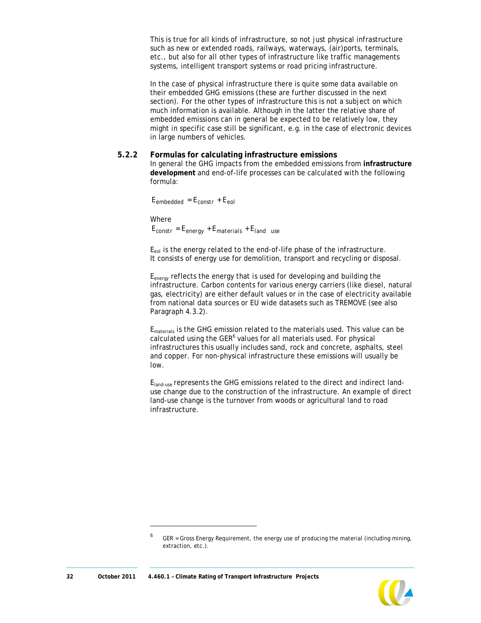This is true for all kinds of infrastructure, so not just physical infrastructure such as new or extended roads, railways, waterways, (air)ports, terminals, etc., but also for all other types of infrastructure like traffic managements systems, intelligent transport systems or road pricing infrastructure.

In the case of physical infrastructure there is quite some data available on their embedded GHG emissions (these are further discussed in the next section). For the other types of infrastructure this is not a subject on which much information is available. Although in the latter the relative share of embedded emissions can in general be expected to be relatively low, they might in specific case still be significant, e.g. in the case of electronic devices in large numbers of vehicles.

#### **5.2.2 Formulas for calculating infrastructure emissions**

In general the GHG impacts from the embedded emissions from **infrastructure development** and end-of-life processes can be calculated with the following formula:

*Eembedded* = *Econstr* + *Eeol*

**Where** *Econstr* = *Eenergy* + *Ematerials* + *Eland use*

Eeol is the energy related to the end-of-life phase of the infrastructure. It consists of energy use for demolition, transport and recycling or disposal.

Eenergy reflects the energy that is used for developing and building the infrastructure. Carbon contents for various energy carriers (like diesel, natural gas, electricity) are either default values or in the case of electricity available from national data sources or EU wide datasets such as TREMOVE (see also Paragraph 4.3.2).

Ematerials is the GHG emission related to the materials used. This value can be calculated using the GER<sup>6</sup> values for all materials used. For physical infrastructures this usually includes sand, rock and concrete, asphalts, steel and copper. For non-physical infrastructure these emissions will usually be low.

Eland-use represents the GHG emissions related to the direct and indirect landuse change due to the construction of the infrastructure. An example of direct land-use change is the turnover from woods or agricultural land to road infrastructure.

l



<sup>6</sup> GER = Gross Energy Requirement, the energy use of producing the material (including mining, extraction, etc.).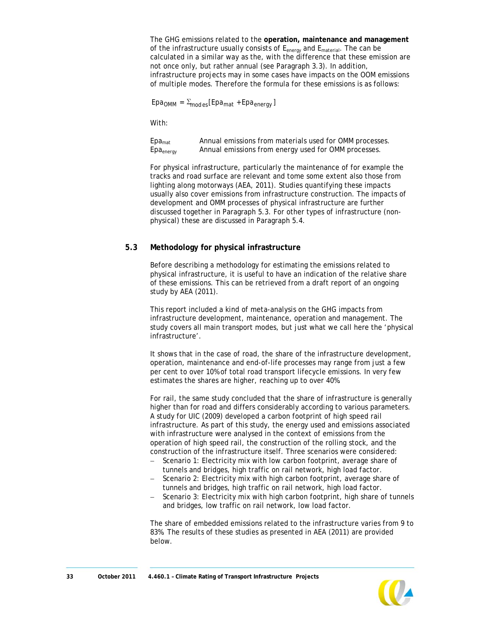The GHG emissions related to the **operation, maintenance and management** of the infrastructure usually consists of E<sub>energy</sub> and E<sub>material</sub>. The can be calculated in a similar way as the, with the difference that these emission are not once only, but rather annual (see Paragraph 3.3). In addition, infrastructure projects may in some cases have impacts on the OOM emissions of multiple modes. Therefore the formula for these emissions is as follows:

 $Epa_{OMM} = \sum_{\text{mod } es} [Epa_{mat} + Epa_{energy}]$ 

With:

Epa<sub>mat</sub> Annual emissions from materials used for OMM processes.<br>Epa<sub>enerav</sub> Annual emissions from energy used for OMM processes. Annual emissions from energy used for OMM processes.

For physical infrastructure, particularly the maintenance of for example the tracks and road surface are relevant and tome some extent also those from lighting along motorways (AEA, 2011). Studies quantifying these impacts usually also cover emissions from infrastructure construction. The impacts of development and OMM processes of physical infrastructure are further discussed together in Paragraph 5.3. For other types of infrastructure (nonphysical) these are discussed in Paragraph 5.4.

#### **5.3 Methodology for physical infrastructure**

Before describing a methodology for estimating the emissions related to physical infrastructure, it is useful to have an indication of the relative share of these emissions. This can be retrieved from a draft report of an ongoing study by AEA (2011).

This report included a kind of meta-analysis on the GHG impacts from infrastructure development, maintenance, operation and management. The study covers all main transport modes, but just what we call here the 'physical infrastructure'.

It shows that in the case of road, the share of the infrastructure development, operation, maintenance and end-of-life processes may range from just a few per cent to over 10% of total road transport lifecycle emissions. In very few estimates the shares are higher, reaching up to over 40%.

For rail, the same study concluded that the share of infrastructure is generally higher than for road and differs considerably according to various parameters. A study for UIC (2009) developed a carbon footprint of high speed rail infrastructure. As part of this study, the energy used and emissions associated with infrastructure were analysed in the context of emissions from the operation of high speed rail, the construction of the rolling stock, and the construction of the infrastructure itself. Three scenarios were considered:

- Scenario 1: Electricity mix with low carbon footprint, average share of tunnels and bridges, high traffic on rail network, high load factor.
- Scenario 2: Electricity mix with high carbon footprint, average share of tunnels and bridges, high traffic on rail network, high load factor.
- Scenario 3: Electricity mix with high carbon footprint, high share of tunnels and bridges, low traffic on rail network, low load factor.

The share of embedded emissions related to the infrastructure varies from 9 to 83%. The results of these studies as presented in AEA (2011) are provided below.

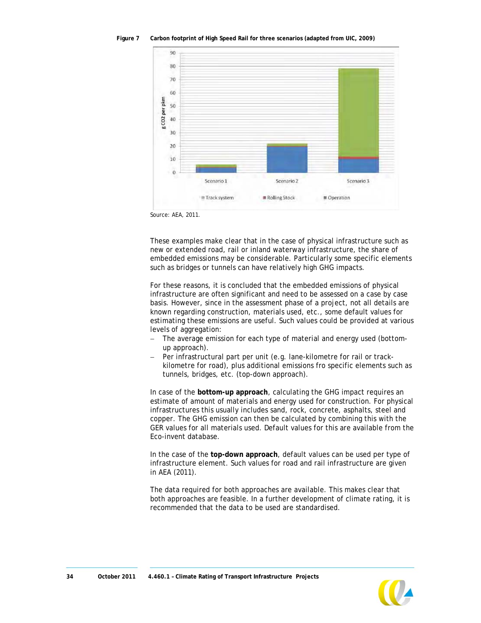#### **Figure 7 Carbon footprint of High Speed Rail for three scenarios (adapted from UIC, 2009)**



Source: AEA, 2011.

These examples make clear that in the case of physical infrastructure such as new or extended road, rail or inland waterway infrastructure, the share of embedded emissions may be considerable. Particularly some specific elements such as bridges or tunnels can have relatively high GHG impacts.

For these reasons, it is concluded that the embedded emissions of physical infrastructure are often significant and need to be assessed on a case by case basis. However, since in the assessment phase of a project, not all details are known regarding construction, materials used, etc., some default values for estimating these emissions are useful. Such values could be provided at various levels of aggregation:

- The average emission for each type of material and energy used (bottomup approach).
- Per infrastructural part per unit (e.g. lane-kilometre for rail or trackkilometre for road), plus additional emissions fro specific elements such as tunnels, bridges, etc. (top-down approach).

In case of the **bottom-up approach**, calculating the GHG impact requires an estimate of amount of materials and energy used for construction. For physical infrastructures this usually includes sand, rock, concrete, asphalts, steel and copper. The GHG emission can then be calculated by combining this with the GER values for all materials used. Default values for this are available from the Eco-invent database.

In the case of the **top-down approach**, default values can be used per type of infrastructure element. Such values for road and rail infrastructure are given in AEA (2011).

The data required for both approaches are available. This makes clear that both approaches are feasible. In a further development of climate rating, it is recommended that the data to be used are standardised.



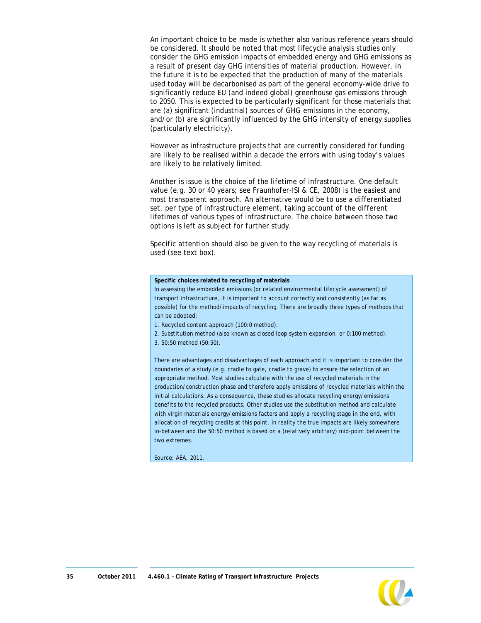An important choice to be made is whether also various reference years should be considered. It should be noted that most lifecycle analysis studies only consider the GHG emission impacts of embedded energy and GHG emissions as a result of *present day* GHG intensities of material production. However, in the future it is to be expected that the production of many of the materials used today will be decarbonised as part of the general economy-wide drive to significantly reduce EU (and indeed global) greenhouse gas emissions through to 2050. This is expected to be particularly significant for those materials that are (a) significant (industrial) sources of GHG emissions in the economy, and/or (b) are significantly influenced by the GHG intensity of energy supplies (particularly electricity).

However as infrastructure projects that are currently considered for funding are likely to be realised within a decade the errors with using today's values are likely to be relatively limited.

Another is issue is the choice of the lifetime of infrastructure. One default value (e.g. 30 or 40 years; see Fraunhofer-ISI & CE, 2008) is the easiest and most transparent approach. An alternative would be to use a differentiated set, per type of infrastructure element, taking account of the different lifetimes of various types of infrastructure. The choice between those two options is left as subject for further study.

Specific attention should also be given to the way recycling of materials is used (see text box).

#### **Specific choices related to recycling of materials**

In assessing the embedded emissions (or related environmental lifecycle assessment) of transport infrastructure, it is important to account correctly and consistently (as far as possible) for the method/impacts of recycling. There are broadly three types of methods that can be adopted:

- 1. Recycled content approach (100:0 method).
- 2. Substitution method (also known as closed loop system expansion, or 0:100 method).
- 3. 50:50 method (50:50).

There are advantages and disadvantages of each approach and it is important to consider the boundaries of a study (e.g. cradle to gate, cradle to grave) to ensure the selection of an appropriate method. Most studies calculate with the use of recycled materials in the production/construction phase and therefore apply emissions of recycled materials within the initial calculations. As a consequence, these studies allocate recycling energy/emissions benefits to the recycled products. Other studies use the substitution method and calculate with virgin materials energy/emissions factors and apply a recycling stage in the end, with allocation of recycling credits at this point. In reality the true impacts are likely somewhere in-between and the 50:50 method is based on a (relatively arbitrary) mid-point between the two extremes.

Source: AEA, 2011.

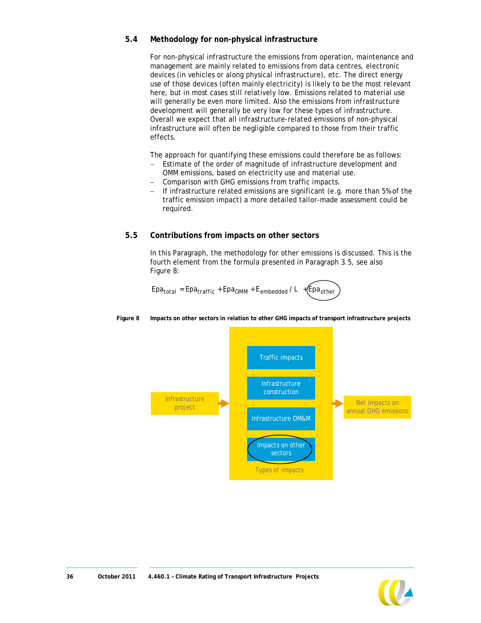#### **5.4 Methodology for non-physical infrastructure**

For non-physical infrastructure the emissions from operation, maintenance and management are mainly related to emissions from data centres, electronic devices (in vehicles or along physical infrastructure), etc. The direct energy use of those devices (often mainly electricity) is likely to be the most relevant here, but in most cases still relatively low. Emissions related to material use will generally be even more limited. Also the emissions from infrastructure development will generally be very low for these types of infrastructure. Overall we expect that all infrastructure-related emissions of non-physical infrastructure will often be negligible compared to those from their traffic effects.

The approach for quantifying these emissions could therefore be as follows:

- Estimate of the order of magnitude of infrastructure development and OMM emissions, based on electricity use and material use.
- Comparison with GHG emissions from traffic impacts.
- If infrastructure related emissions are significant (e.g. more than 5% of the traffic emission impact) a more detailed tailor-made assessment could be required.

#### **5.5 Contributions from impacts on other sectors**

In this Paragraph, the methodology for other emissions is discussed. This is the fourth element from the formula presented in Paragraph 3.5, see also Figure 8:



**Figure 8 Impacts on other sectors in relation to other GHG impacts of transport infrastructure projects** 



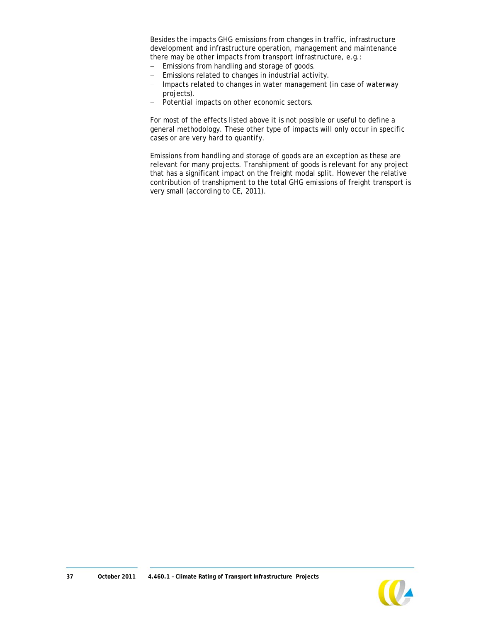Besides the impacts GHG emissions from changes in traffic, infrastructure development and infrastructure operation, management and maintenance there may be other impacts from transport infrastructure, e.g.:

- Emissions from handling and storage of goods.
- Emissions related to changes in industrial activity.
- Impacts related to changes in water management (in case of waterway projects).
- Potential impacts on other economic sectors.

For most of the effects listed above it is not possible or useful to define a general methodology. These other type of impacts will only occur in specific cases or are very hard to quantify.

Emissions from handling and storage of goods are an exception as these are relevant for many projects. Transhipment of goods is relevant for any project that has a significant impact on the freight modal split. However the relative contribution of transhipment to the total GHG emissions of freight transport is very small (according to CE, 2011).

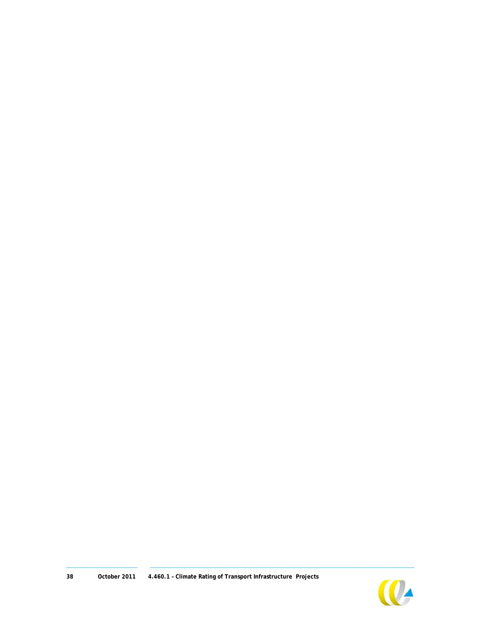

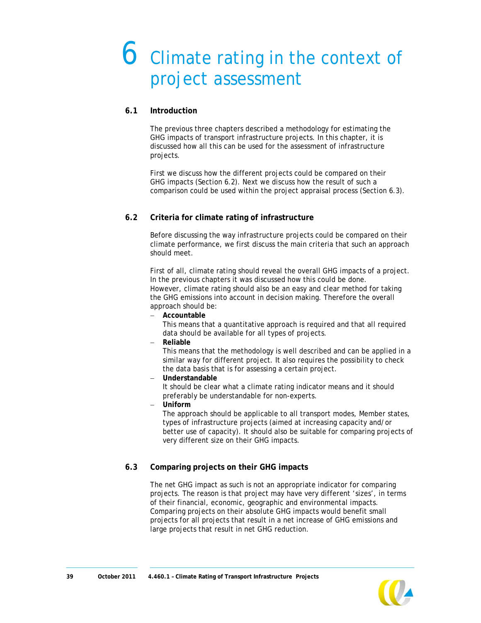# **6** Climate rating in the context of project assessment

#### **6.1 Introduction**

The previous three chapters described a methodology for estimating the GHG impacts of transport infrastructure projects. In this chapter, it is discussed how all this can be used for the assessment of infrastructure projects.

First we discuss how the different projects could be compared on their GHG impacts (Section 6.2). Next we discuss how the result of such a comparison could be used within the project appraisal process (Section 6.3).

#### **6.2 Criteria for climate rating of infrastructure**

Before discussing the way infrastructure projects could be compared on their climate performance, we first discuss the main criteria that such an approach should meet.

First of all, climate rating should reveal the overall GHG impacts of a project. In the previous chapters it was discussed how this could be done. However, climate rating should also be an easy and clear method for taking the GHG emissions into account in decision making. Therefore the overall approach should be:

**Accountable** 

This means that a quantitative approach is required and that all required data should be available for all types of projects.

**Reliable** 

This means that the methodology is well described and can be applied in a similar way for different project. It also requires the possibility to check the data basis that is for assessing a certain project.

**Understandable**

It should be clear what a climate rating indicator means and it should preferably be understandable for non-experts.

**Uniform**

The approach should be applicable to all transport modes, Member states, types of infrastructure projects (aimed at increasing capacity and/or better use of capacity). It should also be suitable for comparing projects of very different size on their GHG impacts.

#### **6.3 Comparing projects on their GHG impacts**

The net GHG impact as such is not an appropriate indicator for comparing projects. The reason is that project may have very different 'sizes', in terms of their financial, economic, geographic and environmental impacts. Comparing projects on their absolute GHG impacts would benefit small projects for all projects that result in a net increase of GHG emissions and large projects that result in net GHG reduction.

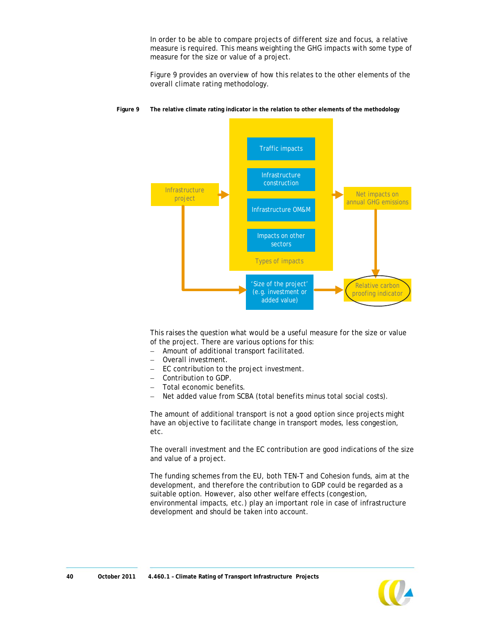In order to be able to compare projects of different size and focus, a relative measure is required. This means weighting the GHG impacts with some type of measure for the size or value of a project.

Figure 9 provides an overview of how this relates to the other elements of the overall climate rating methodology.



#### **Figure 9 The relative climate rating indicator in the relation to other elements of the methodology**

This raises the question what would be a useful measure for the size or value of the project. There are various options for this:

- Amount of additional transport facilitated.
- Overall investment.
- EC contribution to the project investment.
- Contribution to GDP.
- Total economic benefits.
- Net added value from SCBA (total benefits minus total social costs).

The amount of additional transport is not a good option since projects might have an objective to facilitate change in transport modes, less congestion, etc.

The overall investment and the EC contribution are good indications of the size and value of a project.

The funding schemes from the EU, both TEN-T and Cohesion funds, aim at the development, and therefore the contribution to GDP could be regarded as a suitable option. However, also other welfare effects (congestion, environmental impacts, etc.) play an important role in case of infrastructure development and should be taken into account.

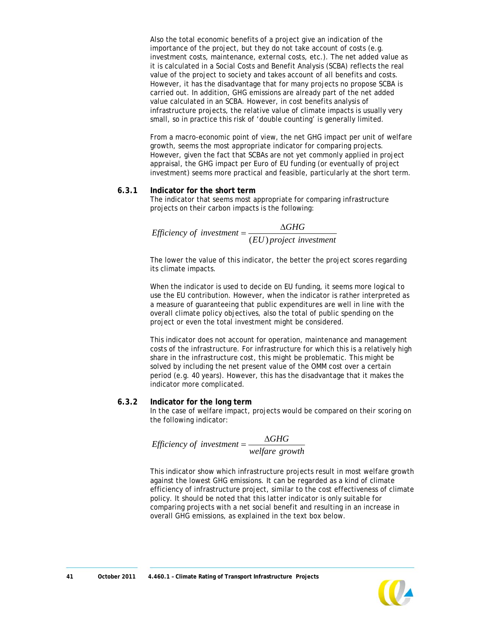Also the total economic benefits of a project give an indication of the importance of the project, but they do not take account of costs (e.g. investment costs, maintenance, external costs, etc.). The net added value as it is calculated in a Social Costs and Benefit Analysis (SCBA) reflects the real value of the project to society and takes account of all benefits and costs. However, it has the disadvantage that for many projects no propose SCBA is carried out. In addition, GHG emissions are already part of the net added value calculated in an SCBA. However, in cost benefits analysis of infrastructure projects, the relative value of climate impacts is usually very small, so in practice this risk of 'double counting' is generally limited.

From a macro-economic point of view, the net GHG impact per unit of welfare growth, seems the most appropriate indicator for comparing projects. However, given the fact that SCBAs are not yet commonly applied in project appraisal, the GHG impact per Euro of EU funding (or eventually of project investment) seems more practical and feasible, particularly at the short term.

#### **6.3.1 Indicator for the short term**

The indicator that seems most appropriate for comparing infrastructure projects on their carbon impacts is the following:

| <i>Efficiency of investment</i> $=$ | $\Lambda G H G$           |
|-------------------------------------|---------------------------|
|                                     | $(EU)$ project investment |

The lower the value of this indicator, the better the project scores regarding its climate impacts.

When the indicator is used to decide on EU funding, it seems more logical to use the EU contribution. However, when the indicator is rather interpreted as a measure of guaranteeing that public expenditures are well in line with the overall climate policy objectives, also the total of public spending on the project or even the total investment might be considered.

This indicator does not account for operation, maintenance and management costs of the infrastructure. For infrastructure for which this is a relatively high share in the infrastructure cost, this might be problematic. This might be solved by including the net present value of the OMM cost over a certain period (e.g. 40 years). However, this has the disadvantage that it makes the indicator more complicated.

#### **6.3.2 Indicator for the long term**

In the case of welfare impact, projects would be compared on their scoring on the following indicator:

*welfare growth Efficiency of investment* =  $\frac{\triangle GHG}{\triangle G}$ 

This indicator show which infrastructure projects result in most welfare growth against the lowest GHG emissions. It can be regarded as a kind of climate efficiency of infrastructure project, similar to the cost effectiveness of climate policy. It should be noted that this latter indicator is only suitable for comparing projects with a net social benefit and resulting in an increase in overall GHG emissions, as explained in the text box below.

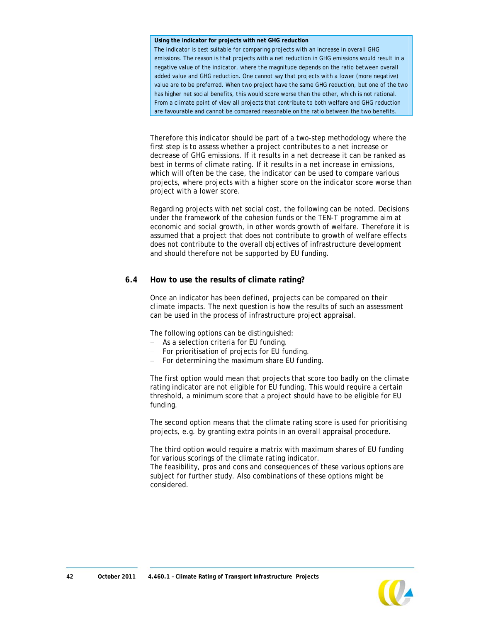**Using the indicator for projects with net GHG reduction** 

The indicator is best suitable for comparing projects with an increase in overall GHG emissions. The reason is that projects with a net reduction in GHG emissions would result in a negative value of the indicator, where the magnitude depends on the ratio between overall added value and GHG reduction. One cannot say that projects with a lower (more negative) value are to be preferred. When two project have the same GHG reduction, but one of the two has higher net social benefits, this would score worse than the other, which is not rational. From a climate point of view all projects that contribute to both welfare and GHG reduction are favourable and cannot be compared reasonable on the ratio between the two benefits.

Therefore this indicator should be part of a two-step methodology where the first step is to assess whether a project contributes to a net increase or decrease of GHG emissions. If it results in a net decrease it can be ranked as best in terms of climate rating. If it results in a net increase in emissions, which will often be the case, the indicator can be used to compare various projects, where projects with a higher score on the indicator score worse than project with a lower score.

Regarding projects with net social cost, the following can be noted. Decisions under the framework of the cohesion funds or the TEN-T programme aim at economic and social growth, in other words growth of welfare. Therefore it is assumed that a project that does not contribute to growth of welfare effects does not contribute to the overall objectives of infrastructure development and should therefore not be supported by EU funding.

#### **6.4 How to use the results of climate rating?**

Once an indicator has been defined, projects can be compared on their climate impacts. The next question is how the results of such an assessment can be used in the process of infrastructure project appraisal.

The following options can be distinguished:

- As a selection criteria for EU funding.
- For prioritisation of projects for EU funding.
- For determining the maximum share EU funding.

The first option would mean that projects that score too badly on the climate rating indicator are not eligible for EU funding. This would require a certain threshold, a minimum score that a project should have to be eligible for EU funding.

The second option means that the climate rating score is used for prioritising projects, e.g. by granting extra points in an overall appraisal procedure.

The third option would require a matrix with maximum shares of EU funding for various scorings of the climate rating indicator.

The feasibility, pros and cons and consequences of these various options are subject for further study. Also combinations of these options might be considered.

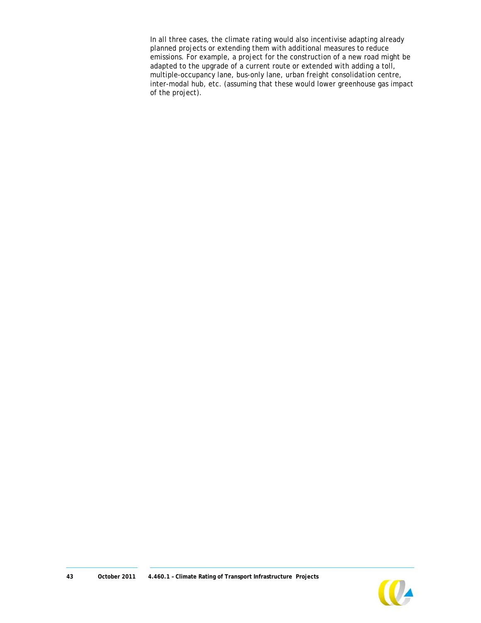In all three cases, the climate rating would also incentivise adapting already planned projects or extending them with additional measures to reduce emissions. For example, a project for the construction of a new road might be adapted to the upgrade of a current route or extended with adding a toll, multiple-occupancy lane, bus-only lane, urban freight consolidation centre, inter-modal hub, etc. (assuming that these would lower greenhouse gas impact of the project).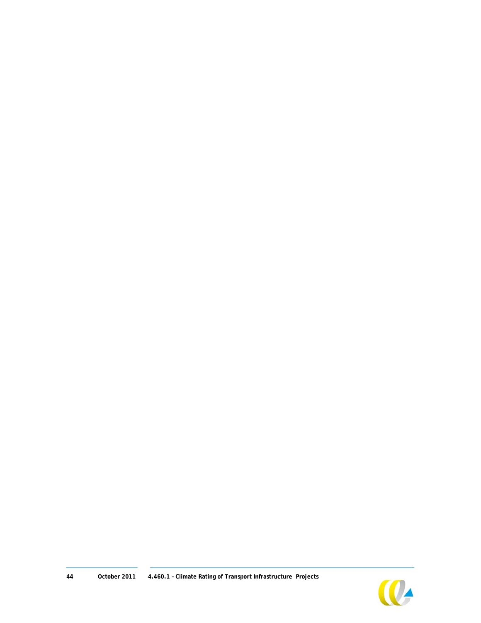

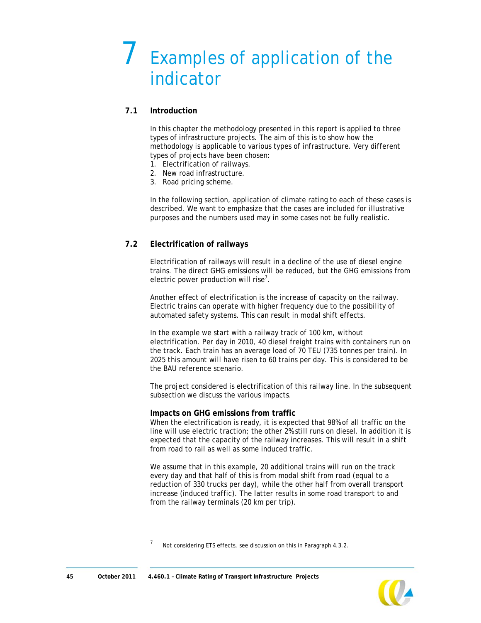# 7 Examples of application of the indicator

#### **7.1 Introduction**

In this chapter the methodology presented in this report is applied to three types of infrastructure projects. The aim of this is to show how the methodology is applicable to various types of infrastructure. Very different types of projects have been chosen:

- 1. Electrification of railways.
- 2. New road infrastructure.
- 3. Road pricing scheme.

In the following section, application of climate rating to each of these cases is described. We want to emphasize that the cases are included for illustrative purposes and the numbers used may in some cases not be fully realistic.

#### **7.2 Electrification of railways**

Electrification of railways will result in a decline of the use of diesel engine trains. The direct GHG emissions will be reduced, but the GHG emissions from electric power production will rise<sup>7</sup>.

Another effect of electrification is the increase of capacity on the railway. Electric trains can operate with higher frequency due to the possibility of automated safety systems. This can result in modal shift effects.

In the example we start with a railway track of 100 km, without electrification. Per day in 2010, 40 diesel freight trains with containers run on the track. Each train has an average load of 70 TEU (735 tonnes per train). In 2025 this amount will have risen to 60 trains per day. This is considered to be the BAU reference scenario.

The project considered is electrification of this railway line. In the subsequent subsection we discuss the various impacts.

#### **Impacts on GHG emissions from traffic**

When the electrification is ready, it is expected that 98% of all traffic on the line will use electric traction; the other 2% still runs on diesel. In addition it is expected that the capacity of the railway increases. This will result in a shift from road to rail as well as some induced traffic.

We assume that in this example, 20 additional trains will run on the track every day and that half of this is from modal shift from road (equal to a reduction of 330 trucks per day), while the other half from overall transport increase (induced traffic). The latter results in some road transport to and from the railway terminals (20 km per trip).

l 7



Not considering ETS effects, see discussion on this in Paragraph 4.3.2.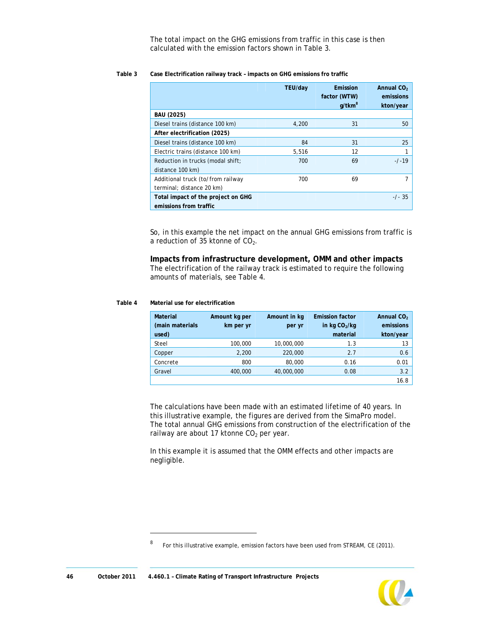The total impact on the GHG emissions from traffic in this case is then calculated with the emission factors shown in Table 3.

#### **Table 3 Case Electrification railway track – impacts on GHG emissions fro traffic**

|                                    | TEU/day | Emission     | Annual $CO2$ |
|------------------------------------|---------|--------------|--------------|
|                                    |         | factor (WTW) | emissions    |
|                                    |         | $q/tkm^8$    | kton/year    |
| BAU (2025)                         |         |              |              |
| Diesel trains (distance 100 km)    | 4,200   | 31           | 50           |
| After electrification (2025)       |         |              |              |
| Diesel trains (distance 100 km)    | 84      | 31           | 25           |
| Electric trains (distance 100 km)  | 5,516   | 12           |              |
| Reduction in trucks (modal shift;  | 700     | 69           | $-/-19$      |
| distance 100 km)                   |         |              |              |
| Additional truck (to/from railway  | 700     | 69           |              |
| terminal; distance 20 km)          |         |              |              |
| Total impact of the project on GHG |         |              | $-/- 35$     |
| emissions from traffic             |         |              |              |

So, in this example the net impact on the annual GHG emissions from traffic is a reduction of 35 ktonne of  $CO<sub>2</sub>$ .

**Impacts from infrastructure development, OMM and other impacts**  The electrification of the railway track is estimated to require the following amounts of materials, see Table 4.

#### **Table 4 Material use for electrification**

| <b>Material</b><br>(main materials<br>used) | Amount kg per<br>km per yr | Amount in kg<br>per yr | <b>Emission factor</b><br>in kg $CO2/kg$<br>material | Annual CO <sub>2</sub><br>emissions<br>kton/year |
|---------------------------------------------|----------------------------|------------------------|------------------------------------------------------|--------------------------------------------------|
| Steel                                       | 100,000                    | 10,000,000             | 1.3                                                  | 13                                               |
| Copper                                      | 2,200                      | 220,000                | 2.7                                                  | 0.6                                              |
| Concrete                                    | 800                        | 80,000                 | 0.16                                                 | 0.01                                             |
| Gravel                                      | 400,000                    | 40,000,000             | 0.08                                                 | 3.2                                              |
|                                             |                            |                        |                                                      | 16.8                                             |

The calculations have been made with an estimated lifetime of 40 years. In this illustrative example, the figures are derived from the SimaPro model. The total annual GHG emissions from construction of the electrification of the railway are about 17 ktonne  $CO<sub>2</sub>$  per year.

In this example it is assumed that the OMM effects and other impacts are negligible.

l 8



For this illustrative example, emission factors have been used from STREAM, CE (2011).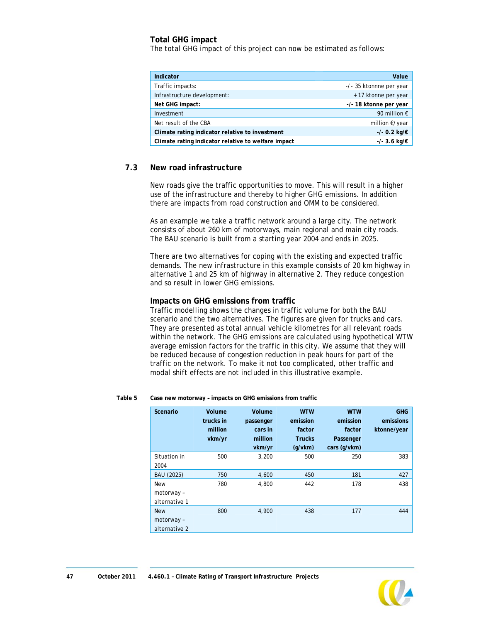#### **Total GHG impact**

The total GHG impact of this project can now be estimated as follows:

| Indicator                                           | Value                   |
|-----------------------------------------------------|-------------------------|
| Traffic impacts:                                    | -/- 35 ktonnne per year |
| Infrastructure development:                         | + 17 ktonne per year    |
| Net GHG impact:                                     | -/-18 ktonne per year   |
| Investment                                          | 90 million $\epsilon$   |
| Net result of the CBA                               | million €/year          |
| Climate rating indicator relative to investment     | $-/-$ 0.2 kg/€          |
| Climate rating indicator relative to welfare impact | $-/-$ 3.6 kg/€          |

#### **7.3 New road infrastructure**

New roads give the traffic opportunities to move. This will result in a higher use of the infrastructure and thereby to higher GHG emissions. In addition there are impacts from road construction and OMM to be considered.

As an example we take a traffic network around a large city. The network consists of about 260 km of motorways, main regional and main city roads. The BAU scenario is built from a starting year 2004 and ends in 2025.

There are two alternatives for coping with the existing and expected traffic demands. The new infrastructure in this example consists of 20 km highway in alternative 1 and 25 km of highway in alternative 2. They reduce congestion and so result in lower GHG emissions.

#### **Impacts on GHG emissions from traffic**

Traffic modelling shows the changes in traffic volume for both the BAU scenario and the two alternatives. The figures are given for trucks and cars. They are presented as total annual vehicle kilometres for all relevant roads within the network. The GHG emissions are calculated using hypothetical WTW average emission factors for the traffic in this city. We assume that they will be reduced because of congestion reduction in peak hours for part of the traffic on the network. To make it not too complicated, other traffic and modal shift effects are not included in this illustrative example.

#### **Table 5 Case new motorway – impacts on GHG emissions from traffic**

| Scenario                                  | Volume<br>trucks in<br>million<br>vkm/yr | Volume<br>passenger<br>cars in<br>million<br>vkm/yr | <b>WTW</b><br>emission<br>factor<br><b>Trucks</b><br>(q/vkm) | <b>WTW</b><br>emission<br>factor<br>Passenger<br>cars (g/vkm) | <b>GHG</b><br>emissions<br>ktonne/year |
|-------------------------------------------|------------------------------------------|-----------------------------------------------------|--------------------------------------------------------------|---------------------------------------------------------------|----------------------------------------|
| Situation in<br>2004                      | 500                                      | 3,200                                               | 500                                                          | 250                                                           | 383                                    |
| BAU (2025)                                | 750                                      | 4,600                                               | 450                                                          | 181                                                           | 427                                    |
| <b>New</b><br>motorway -<br>alternative 1 | 780                                      | 4.800                                               | 442                                                          | 178                                                           | 438                                    |
| <b>New</b><br>motorway -<br>alternative 2 | 800                                      | 4.900                                               | 438                                                          | 177                                                           | 444                                    |

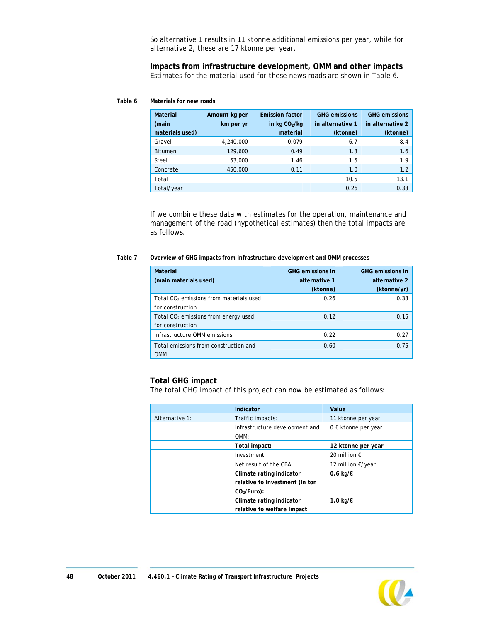So alternative 1 results in 11 ktonne additional emissions per year, while for alternative 2, these are 17 ktonne per year.

**Impacts from infrastructure development, OMM and other impacts**  Estimates for the material used for these news roads are shown in Table 6.

#### **Table 6 Materials for new roads**

| <b>Material</b> | Amount kg per | <b>Emission factor</b> | <b>GHG</b> emissions | <b>GHG</b> emissions |
|-----------------|---------------|------------------------|----------------------|----------------------|
| (main           | km per yr     | in kg $CO2/kg$         | in alternative 1     | in alternative 2     |
| materials used) |               | material               | (ktonne)             | (ktonne)             |
| Gravel          | 4,240,000     | 0.079                  | 6.7                  | 8.4                  |
| <b>Bitumen</b>  | 129,600       | 0.49                   | 1.3                  | 1.6                  |
| Steel           | 53,000        | 1.46                   | 1.5                  | 1.9                  |
| Concrete        | 450,000       | 0.11                   | 1.0                  | 1.2                  |
| Total           |               |                        | 10.5                 | 13.1                 |
| Total/year      |               |                        | 0.26                 | 0.33                 |

If we combine these data with estimates for the operation, maintenance and management of the road (hypothetical estimates) then the total impacts are as follows.

#### **Table 7 Overview of GHG impacts from infrastructure development and OMM processes**

| <b>Material</b><br>(main materials used)                                | <b>GHG</b> emissions in<br>alternative 1<br>(ktonne) | <b>GHG</b> emissions in<br>alternative 2<br>(ktonne/yr) |
|-------------------------------------------------------------------------|------------------------------------------------------|---------------------------------------------------------|
| Total CO <sub>2</sub> emissions from materials used<br>for construction | 0.26                                                 | 0.33                                                    |
| Total $CO2$ emissions from energy used<br>for construction              | 0.12                                                 | 0.15                                                    |
| Infrastructure OMM emissions                                            | 0.22                                                 | 0.27                                                    |
| Total emissions from construction and<br><b>OMM</b>                     | 0.60                                                 | 0.75                                                    |

#### **Total GHG impact**

The total GHG impact of this project can now be estimated as follows:

|                | Indicator                      | Value                 |
|----------------|--------------------------------|-----------------------|
| Alternative 1: | Traffic impacts:               | 11 ktonne per year    |
|                | Infrastructure development and | 0.6 ktonne per year   |
|                | OMM:                           |                       |
|                | Total impact:                  | 12 ktonne per year    |
|                | Investment                     | 20 million $\epsilon$ |
|                | Net result of the CBA          | 12 million €/year     |
|                | Climate rating indicator       | 0.6 kg/ $\epsilon$    |
|                | relative to investment (in ton |                       |
|                | $CO2/Euro$ :                   |                       |
|                | Climate rating indicator       | 1.0 kg/€              |
|                | relative to welfare impact     |                       |

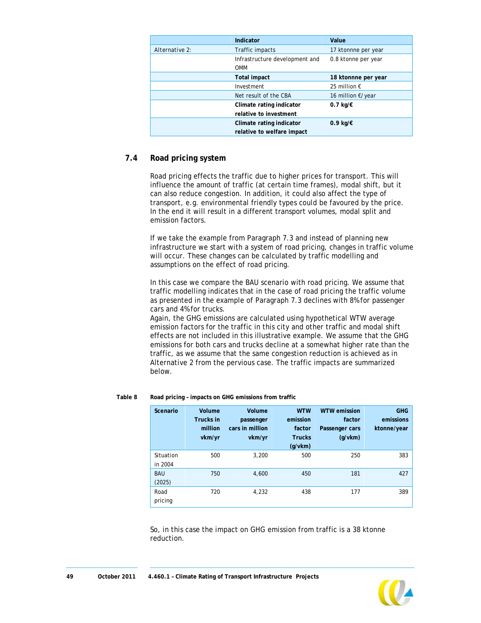|                | Indicator                                    | Value                 |
|----------------|----------------------------------------------|-----------------------|
| Alternative 2: | Traffic impacts                              | 17 ktonnne per year   |
|                | Infrastructure development and<br><b>OMM</b> | 0.8 ktonne per year   |
|                | <b>Total impact</b>                          | 18 ktonnne per year   |
|                | Investment                                   | 25 million $\epsilon$ |
|                | Net result of the CBA                        | 16 million €/year     |
|                | Climate rating indicator                     | $0.7$ kg/ $\epsilon$  |
|                | relative to investment                       |                       |
|                | Climate rating indicator                     | $0.9$ kg/ $\epsilon$  |
|                | relative to welfare impact                   |                       |

#### **7.4 Road pricing system**

Road pricing effects the traffic due to higher prices for transport. This will influence the amount of traffic (at certain time frames), modal shift, but it can also reduce congestion. In addition, it could also affect the type of transport, e.g. environmental friendly types could be favoured by the price. In the end it will result in a different transport volumes, modal split and emission factors.

If we take the example from Paragraph 7.3 and instead of planning new infrastructure we start with a system of road pricing, changes in traffic volume will occur. These changes can be calculated by traffic modelling and assumptions on the effect of road pricing.

In this case we compare the BAU scenario with road pricing. We assume that traffic modelling indicates that in the case of road pricing the traffic volume as presented in the example of Paragraph 7.3 declines with 8% for passenger cars and 4% for trucks.

Again, the GHG emissions are calculated using hypothetical WTW average emission factors for the traffic in this city and other traffic and modal shift effects are not included in this illustrative example. We assume that the GHG emissions for both cars and trucks decline at a somewhat higher rate than the traffic, as we assume that the same congestion reduction is achieved as in Alternative 2 from the pervious case. The traffic impacts are summarized below.

| Scenario             | Volume<br><b>Trucks in</b><br>million<br>vkm/yr | Volume<br>passenger<br>cars in million<br>vkm/yr | <b>WTW</b><br>emission<br>factor<br><b>Trucks</b><br>(q/vkm) | <b>WTW emission</b><br>factor<br>Passenger cars<br>(q/vkm) | <b>GHG</b><br>emissions<br>ktonne/year |
|----------------------|-------------------------------------------------|--------------------------------------------------|--------------------------------------------------------------|------------------------------------------------------------|----------------------------------------|
| Situation<br>in 2004 | 500                                             | 3,200                                            | 500                                                          | 250                                                        | 383                                    |
| <b>BAU</b><br>(2025) | 750                                             | 4.600                                            | 450                                                          | 181                                                        | 427                                    |
| Road<br>pricing      | 720                                             | 4,232                                            | 438                                                          | 177                                                        | 389                                    |

#### **Table 8 Road pricing – impacts on GHG emissions from traffic**

So, in this case the impact on GHG emission from traffic is a 38 ktonne reduction.

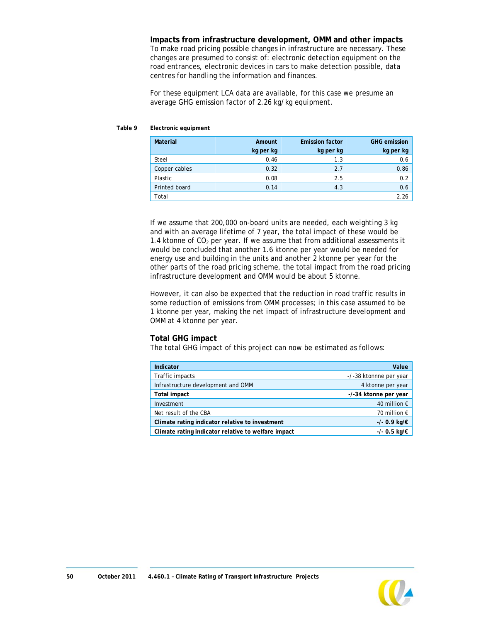**Impacts from infrastructure development, OMM and other impacts**  To make road pricing possible changes in infrastructure are necessary. These changes are presumed to consist of: electronic detection equipment on the road entrances, electronic devices in cars to make detection possible, data centres for handling the information and finances.

For these equipment LCA data are available, for this case we presume an average GHG emission factor of 2.26 kg/kg equipment.

#### **Table 9 Electronic equipment**

| <b>Material</b> | Amount    | <b>Emission factor</b> | <b>GHG</b> emission |
|-----------------|-----------|------------------------|---------------------|
|                 | kg per kg | kg per kg              | kg per kg           |
| Steel           | 0.46      | 1.3                    | 0.6                 |
| Copper cables   | 0.32      | 2.7                    | 0.86                |
| Plastic         | 0.08      | 2.5                    | 0.2                 |
| Printed board   | 0.14      | 4.3                    | 0.6                 |
| Total           |           |                        | 2.26                |

If we assume that 200,000 on-board units are needed, each weighting 3 kg and with an average lifetime of 7 year, the total impact of these would be 1.4 ktonne of  $CO<sub>2</sub>$  per year. If we assume that from additional assessments it would be concluded that another 1.6 ktonne per year would be needed for energy use and building in the units and another 2 ktonne per year for the other parts of the road pricing scheme, the total impact from the road pricing infrastructure development and OMM would be about 5 ktonne.

However, it can also be expected that the reduction in road traffic results in some reduction of emissions from OMM processes; in this case assumed to be 1 ktonne per year, making the net impact of infrastructure development and OMM at 4 ktonne per year.

#### **Total GHG impact**

The total GHG impact of this project can now be estimated as follows:

| Indicator                                           | Value                  |
|-----------------------------------------------------|------------------------|
| Traffic impacts                                     | -/-38 ktonnne per year |
| Infrastructure development and OMM                  | 4 ktonne per year      |
| <b>Total impact</b>                                 | -/-34 ktonne per year  |
| Investment                                          | 40 million $\epsilon$  |
| Net result of the CBA                               | 70 million $\epsilon$  |
| Climate rating indicator relative to investment     | $-/-$ 0.9 kg/€         |
| Climate rating indicator relative to welfare impact | $-/-$ 0.5 kg/€         |

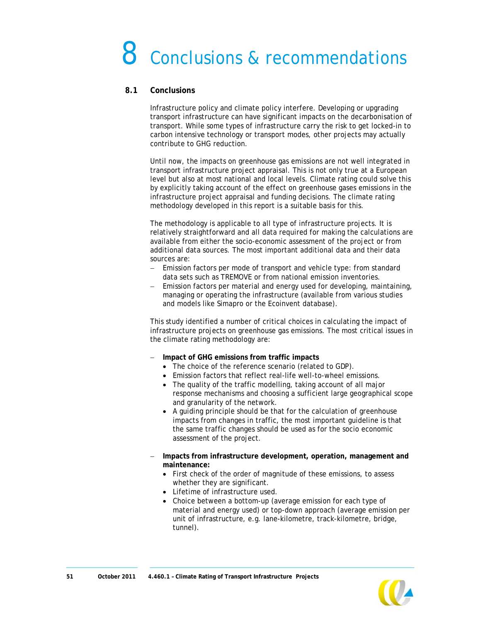# Conclusions & recommendations

#### **8.1 Conclusions**

Infrastructure policy and climate policy interfere. Developing or upgrading transport infrastructure can have significant impacts on the decarbonisation of transport. While some types of infrastructure carry the risk to get locked-in to carbon intensive technology or transport modes, other projects may actually contribute to GHG reduction.

Until now, the impacts on greenhouse gas emissions are not well integrated in transport infrastructure project appraisal. This is not only true at a European level but also at most national and local levels. Climate rating could solve this by explicitly taking account of the effect on greenhouse gases emissions in the infrastructure project appraisal and funding decisions. The climate rating methodology developed in this report is a suitable basis for this.

The methodology is applicable to all type of infrastructure projects. It is relatively straightforward and all data required for making the calculations are available from either the socio-economic assessment of the project or from additional data sources. The most important additional data and their data sources are:

- Emission factors per mode of transport and vehicle type: from standard data sets such as TREMOVE or from national emission inventories.
- Emission factors per material and energy used for developing, maintaining, managing or operating the infrastructure (available from various studies and models like Simapro or the Ecoinvent database).

This study identified a number of critical choices in calculating the impact of infrastructure projects on greenhouse gas emissions. The most critical issues in the climate rating methodology are:

- **Impact of GHG emissions from traffic impacts** 
	- The choice of the reference scenario (related to GDP).
	- Emission factors that reflect real-life well-to-wheel emissions.
	- The quality of the traffic modelling, taking account of all major response mechanisms and choosing a sufficient large geographical scope and granularity of the network.
	- A guiding principle should be that for the calculation of greenhouse impacts from changes in traffic, the most important guideline is that the same traffic changes should be used as for the socio economic assessment of the project.
- **Impacts from infrastructure development, operation, management and maintenance:** 
	- First check of the order of magnitude of these emissions, to assess whether they are significant.
	- Lifetime of infrastructure used.
	- Choice between a bottom-up (average emission for each type of material and energy used) or top-down approach (average emission per unit of infrastructure, e.g. lane-kilometre, track-kilometre, bridge, tunnel).

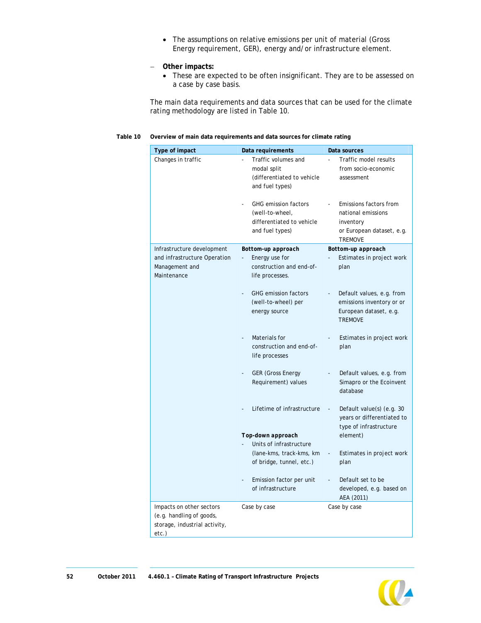- The assumptions on relative emissions per unit of material (Gross Energy requirement, GER), energy and/or infrastructure element.
- **Other impacts:** 
	- These are expected to be often insignificant. They are to be assessed on a case by case basis.

The main data requirements and data sources that can be used for the climate rating methodology are listed in Table 10.

**Table 10 Overview of main data requirements and data sources for climate rating** 

| Type of impact                                                | Data requirements                                                                       | Data sources                                                                                             |
|---------------------------------------------------------------|-----------------------------------------------------------------------------------------|----------------------------------------------------------------------------------------------------------|
| Changes in traffic                                            | Traffic volumes and<br>modal split<br>(differentiated to vehicle<br>and fuel types)     | Traffic model results<br>from socio-economic<br>assessment                                               |
|                                                               | GHG emission factors<br>(well-to-wheel,<br>differentiated to vehicle<br>and fuel types) | Emissions factors from<br>national emissions<br>inventory<br>or European dataset, e.g.<br><b>TREMOVE</b> |
| Infrastructure development                                    | Bottom-up approach                                                                      | Bottom-up approach                                                                                       |
| and infrastructure Operation<br>Management and<br>Maintenance | Energy use for<br>construction and end-of-<br>life processes.                           | Estimates in project work<br>plan                                                                        |
|                                                               | GHG emission factors<br>(well-to-wheel) per<br>energy source                            | Default values, e.g. from<br>emissions inventory or or<br>European dataset, e.g.<br><b>TREMOVE</b>       |
|                                                               | Materials for<br>construction and end-of-<br>life processes                             | Estimates in project work<br>plan                                                                        |
|                                                               | <b>GER (Gross Energy</b><br>Requirement) values                                         | Default values, e.g. from<br>Simapro or the Ecoinvent<br>database                                        |
|                                                               | Lifetime of infrastructure                                                              | Default value(s) (e.g. 30<br>years or differentiated to<br>type of infrastructure                        |
|                                                               | Top-down approach<br>Units of infrastructure                                            | element)                                                                                                 |
|                                                               | (lane-kms, track-kms, km                                                                | Estimates in project work                                                                                |
|                                                               | of bridge, tunnel, etc.)                                                                | plan                                                                                                     |
|                                                               | Emission factor per unit<br>of infrastructure                                           | Default set to be<br>developed, e.g. based on<br>AEA (2011)                                              |
| Impacts on other sectors                                      | Case by case                                                                            | Case by case                                                                                             |
| (e.g. handling of goods,<br>storage, industrial activity,     |                                                                                         |                                                                                                          |
| etc.)                                                         |                                                                                         |                                                                                                          |

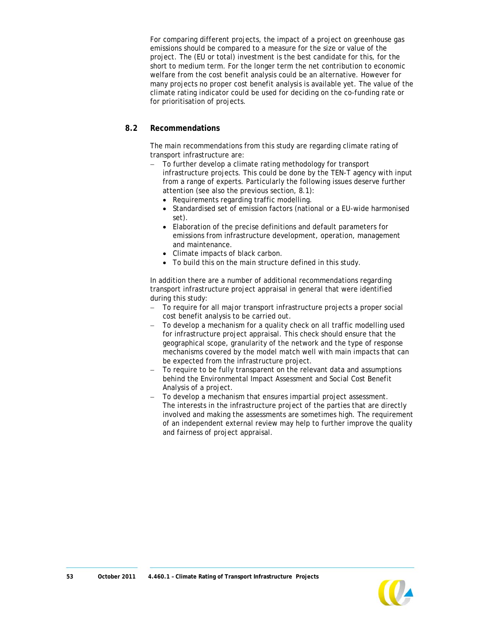For comparing different projects, the impact of a project on greenhouse gas emissions should be compared to a measure for the size or value of the project. The (EU or total) investment is the best candidate for this, for the short to medium term. For the longer term the net contribution to economic welfare from the cost benefit analysis could be an alternative. However for many projects no proper cost benefit analysis is available yet. The value of the climate rating indicator could be used for deciding on the co-funding rate or for prioritisation of projects.

#### **8.2 Recommendations**

The main recommendations from this study are regarding climate rating of transport infrastructure are:

- To further develop a climate rating methodology for transport infrastructure projects. This could be done by the TEN-T agency with input from a range of experts. Particularly the following issues deserve further attention (see also the previous section, 8.1):
	- Requirements regarding traffic modelling.
	- Standardised set of emission factors (national or a EU-wide harmonised set).
	- Elaboration of the precise definitions and default parameters for emissions from infrastructure development, operation, management and maintenance.
	- Climate impacts of black carbon.
	- To build this on the main structure defined in this study.

In addition there are a number of additional recommendations regarding transport infrastructure project appraisal in general that were identified during this study:

- To require for all major transport infrastructure projects a proper social cost benefit analysis to be carried out.
- To develop a mechanism for a quality check on all traffic modelling used for infrastructure project appraisal. This check should ensure that the geographical scope, granularity of the network and the type of response mechanisms covered by the model match well with main impacts that can be expected from the infrastructure project.
- To require to be fully transparent on the relevant data and assumptions behind the Environmental Impact Assessment and Social Cost Benefit Analysis of a project.
- To develop a mechanism that ensures impartial project assessment. The interests in the infrastructure project of the parties that are directly involved and making the assessments are sometimes high. The requirement of an independent external review may help to further improve the quality and fairness of project appraisal.

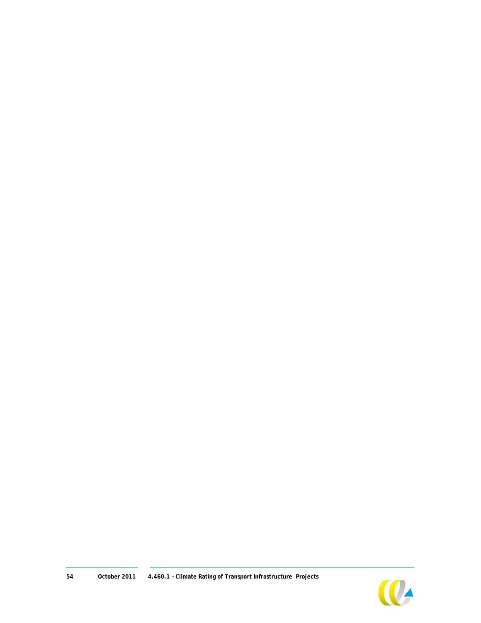

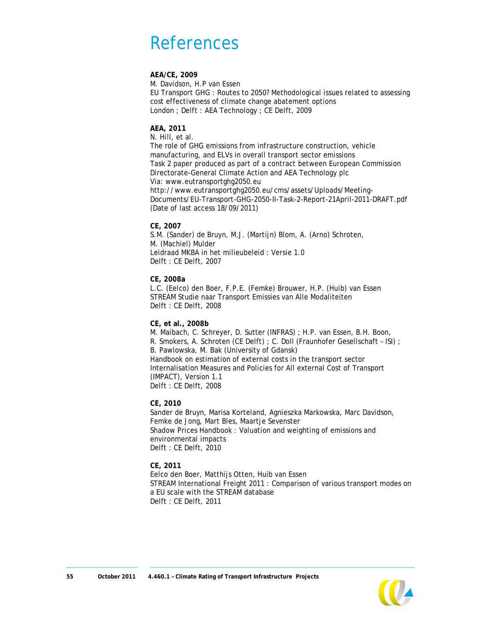### References

#### **AEA/CE, 2009**

M. Davidson, H.P van Essen EU Transport GHG : Routes to 2050? Methodological issues related to assessing cost effectiveness of climate change abatement options London ; Delft : AEA Technology ; CE Delft, 2009

#### **AEA, 2011**

N. Hill, et al. The role of GHG emissions from infrastructure construction, vehicle manufacturing, and ELVs in overall transport sector emissions Task 2 paper produced as part of a contract between European Commission Directorate-General Climate Action and AEA Technology plc Via: www.eutransportghg2050.eu http://www.eutransportghg2050.eu/cms/assets/Uploads/Meeting-Documents/EU-Transport-GHG-2050-II-Task-2-Report-21April-2011-DRAFT.pdf (Date of last access 18/09/2011)

#### **CE, 2007**

S.M. (Sander) de Bruyn, M.J. (Martijn) Blom, A. (Arno) Schroten, M. (Machiel) Mulder Leidraad MKBA in het milieubeleid : Versie 1.0 Delft : CE Delft, 2007

#### **CE, 2008a**

L.C. (Eelco) den Boer, F.P.E. (Femke) Brouwer, H.P. (Huib) van Essen STREAM Studie naar Transport Emissies van Alle Modaliteiten Delft : CE Delft, 2008

#### **CE, et al., 2008b**

M. Maibach, C. Schreyer, D. Sutter (INFRAS) ; H.P. van Essen, B.H. Boon, R. Smokers, A. Schroten (CE Delft) ; C. Doll (Fraunhofer Gesellschaft – ISI) ; B. Pawlowska, M. Bak (University of Gdansk) Handbook on estimation of external costs in the transport sector Internalisation Measures and Policies for All external Cost of Transport (IMPACT), Version 1.1 Delft : CE Delft, 2008

#### **CE, 2010**

Sander de Bruyn, Marisa Korteland, Agnieszka Markowska, Marc Davidson, Femke de Jong, Mart Bles, Maartje Sevenster Shadow Prices Handbook : Valuation and weighting of emissions and environmental impacts Delft : CE Delft, 2010

#### **CE, 2011**

Eelco den Boer, Matthijs Otten, Huib van Essen STREAM International Freight 2011 : Comparison of various transport modes on a EU scale with the STREAM database Delft : CE Delft, 2011